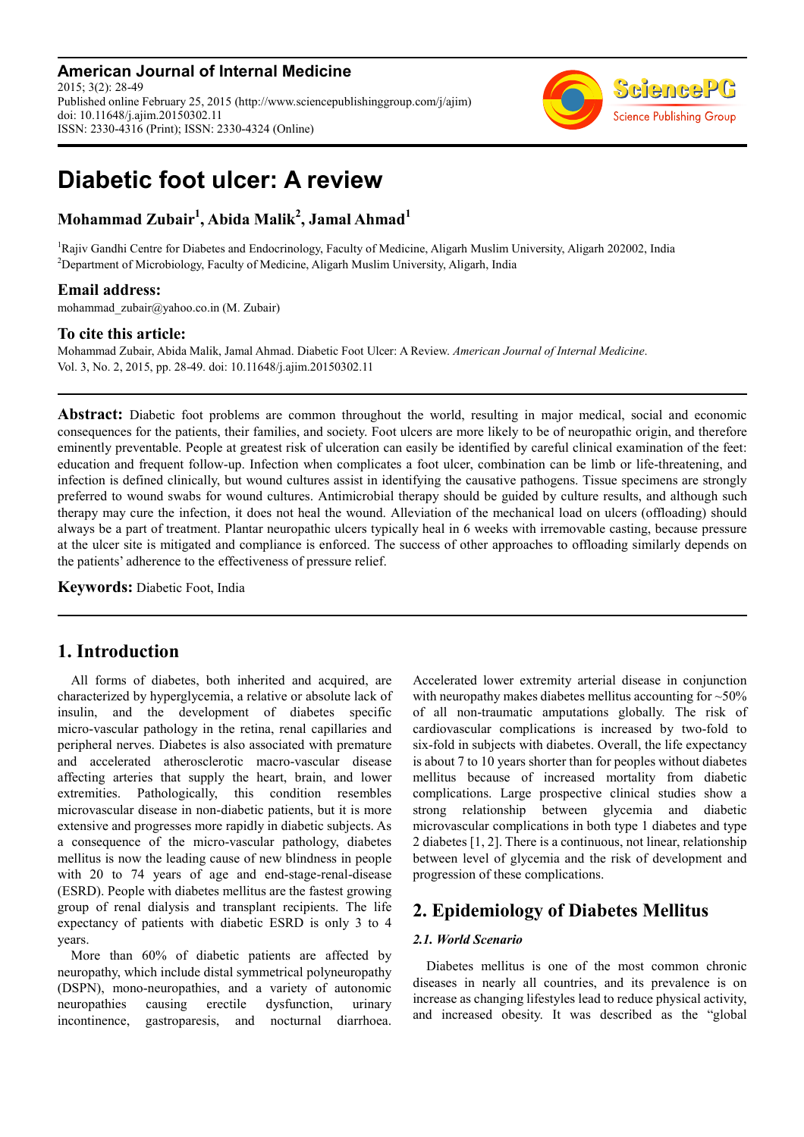**American Journal of Internal Medicine** 2015; 3(2): 28-49 Published online February 25, 2015 (http://www.sciencepublishinggroup.com/j/ajim) doi: 10.11648/j.ajim.20150302.11 ISSN: 2330-4316 (Print); ISSN: 2330-4324 (Online)



# **Diabetic foot ulcer: A review**

### **Mohammad Zubair<sup>1</sup> , Abida Malik<sup>2</sup> , Jamal Ahmad<sup>1</sup>**

<sup>1</sup>Rajiv Gandhi Centre for Diabetes and Endocrinology, Faculty of Medicine, Aligarh Muslim University, Aligarh 202002, India <sup>2</sup>Department of Microbiology, Faculty of Medicine, Aligarh Muslim University, Aligarh, India

### **Email address:**

mohammad\_zubair@yahoo.co.in (M. Zubair)

### **To cite this article:**

Mohammad Zubair, Abida Malik, Jamal Ahmad. Diabetic Foot Ulcer: A Review. *American Journal of Internal Medicine*. Vol. 3, No. 2, 2015, pp. 28-49. doi: 10.11648/j.ajim.20150302.11

**Abstract:** Diabetic foot problems are common throughout the world, resulting in major medical, social and economic consequences for the patients, their families, and society. Foot ulcers are more likely to be of neuropathic origin, and therefore eminently preventable. People at greatest risk of ulceration can easily be identified by careful clinical examination of the feet: education and frequent follow-up. Infection when complicates a foot ulcer, combination can be limb or life-threatening, and infection is defined clinically, but wound cultures assist in identifying the causative pathogens. Tissue specimens are strongly preferred to wound swabs for wound cultures. Antimicrobial therapy should be guided by culture results, and although such therapy may cure the infection, it does not heal the wound. Alleviation of the mechanical load on ulcers (offloading) should always be a part of treatment. Plantar neuropathic ulcers typically heal in 6 weeks with irremovable casting, because pressure at the ulcer site is mitigated and compliance is enforced. The success of other approaches to offloading similarly depends on the patients' adherence to the effectiveness of pressure relief.

**Keywords:** Diabetic Foot, India

### **1. Introduction**

All forms of diabetes, both inherited and acquired, are characterized by hyperglycemia, a relative or absolute lack of insulin, and the development of diabetes specific micro-vascular pathology in the retina, renal capillaries and peripheral nerves. Diabetes is also associated with premature and accelerated atherosclerotic macro-vascular disease affecting arteries that supply the heart, brain, and lower extremities. Pathologically, this condition resembles microvascular disease in non-diabetic patients, but it is more extensive and progresses more rapidly in diabetic subjects. As a consequence of the micro-vascular pathology, diabetes mellitus is now the leading cause of new blindness in people with 20 to 74 years of age and end-stage-renal-disease (ESRD). People with diabetes mellitus are the fastest growing group of renal dialysis and transplant recipients. The life expectancy of patients with diabetic ESRD is only 3 to 4 years.

More than 60% of diabetic patients are affected by neuropathy, which include distal symmetrical polyneuropathy (DSPN), mono-neuropathies, and a variety of autonomic neuropathies causing erectile dysfunction, urinary incontinence, gastroparesis, and nocturnal diarrhoea.

Accelerated lower extremity arterial disease in conjunction with neuropathy makes diabetes mellitus accounting for ~50% of all non-traumatic amputations globally. The risk of cardiovascular complications is increased by two-fold to six-fold in subjects with diabetes. Overall, the life expectancy is about 7 to 10 years shorter than for peoples without diabetes mellitus because of increased mortality from diabetic complications. Large prospective clinical studies show a strong relationship between glycemia and diabetic microvascular complications in both type 1 diabetes and type 2 diabetes [1, 2]. There is a continuous, not linear, relationship between level of glycemia and the risk of development and progression of these complications.

## **2. Epidemiology of Diabetes Mellitus**

### *2.1. World Scenario*

Diabetes mellitus is one of the most common chronic diseases in nearly all countries, and its prevalence is on increase as changing lifestyles lead to reduce physical activity, and increased obesity. It was described as the "global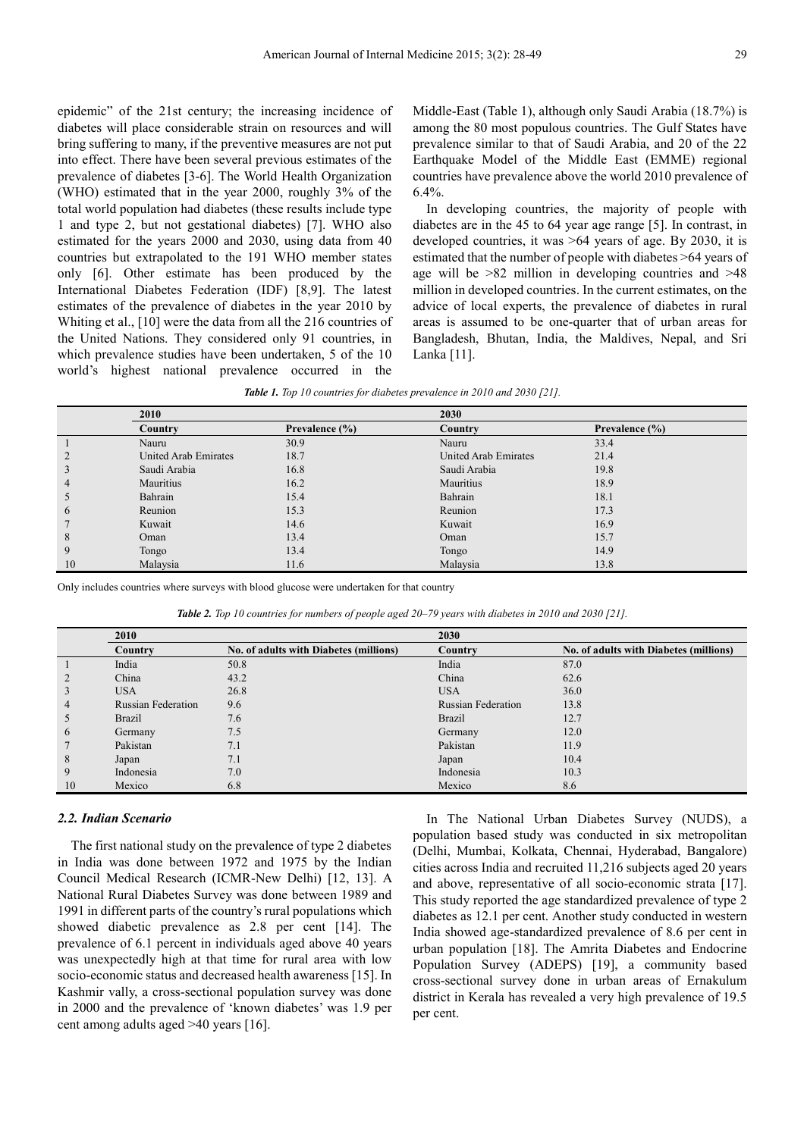epidemic" of the 21st century; the increasing incidence of diabetes will place considerable strain on resources and will bring suffering to many, if the preventive measures are not put into effect. There have been several previous estimates of the prevalence of diabetes [3-6]. The World Health Organization (WHO) estimated that in the year 2000, roughly 3% of the total world population had diabetes (these results include type 1 and type 2, but not gestational diabetes) [7]. WHO also estimated for the years 2000 and 2030, using data from 40 countries but extrapolated to the 191 WHO member states only [6]. Other estimate has been produced by the International Diabetes Federation (IDF) [8,9]. The latest estimates of the prevalence of diabetes in the year 2010 by Whiting et al., [10] were the data from all the 216 countries of the United Nations. They considered only 91 countries, in which prevalence studies have been undertaken, 5 of the 10 world's highest national prevalence occurred in the

Middle-East (Table 1), although only Saudi Arabia (18.7%) is among the 80 most populous countries. The Gulf States have prevalence similar to that of Saudi Arabia, and 20 of the 22 Earthquake Model of the Middle East (EMME) regional countries have prevalence above the world 2010 prevalence of 6.4%.

In developing countries, the majority of people with diabetes are in the 45 to 64 year age range [5]. In contrast, in developed countries, it was >64 years of age. By 2030, it is estimated that the number of people with diabetes >64 years of age will be >82 million in developing countries and >48 million in developed countries. In the current estimates, on the advice of local experts, the prevalence of diabetes in rural areas is assumed to be one-quarter that of urban areas for Bangladesh, Bhutan, India, the Maldives, Nepal, and Sri Lanka [11].

|               | 2010                 |                    | 2030                 |                |
|---------------|----------------------|--------------------|----------------------|----------------|
|               | Country              | Prevalence $(\% )$ | Country              | Prevalence (%) |
|               | Nauru                | 30.9               | Nauru                | 33.4           |
|               | United Arab Emirates | 18.7               | United Arab Emirates | 21.4           |
| 3             | Saudi Arabia         | 16.8               | Saudi Arabia         | 19.8           |
| 4             | Mauritius            | 16.2               | Mauritius            | 18.9           |
| C             | Bahrain              | 15.4               | Bahrain              | 18.1           |
| $\mathfrak b$ | Reunion              | 15.3               | Reunion              | 17.3           |
|               | Kuwait               | 14.6               | Kuwait               | 16.9           |
| 8             | Oman                 | 13.4               | Oman                 | 15.7           |
| 9             | Tongo                | 13.4               | Tongo                | 14.9           |
| 10            | Malaysia             | 11.6               | Malaysia             | 13.8           |

Only includes countries where surveys with blood glucose were undertaken for that country

*Table 2. Top 10 countries for numbers of people aged 20–79 years with diabetes in 2010 and 2030 [21].* 

|    | 2010                      |                                        | 2030                      |                                        |
|----|---------------------------|----------------------------------------|---------------------------|----------------------------------------|
|    | Country                   | No. of adults with Diabetes (millions) | Country                   | No. of adults with Diabetes (millions) |
|    | India                     | 50.8                                   | India                     | 87.0                                   |
|    | China                     | 43.2                                   | China                     | 62.6                                   |
|    | <b>USA</b>                | 26.8                                   | <b>USA</b>                | 36.0                                   |
| 4  | <b>Russian Federation</b> | 9.6                                    | <b>Russian Federation</b> | 13.8                                   |
|    | Brazil                    | 7.6                                    | <b>Brazil</b>             | 12.7                                   |
| 6  | Germany                   | 7.5                                    | Germany                   | 12.0                                   |
|    | Pakistan                  | 7.1                                    | Pakistan                  | 11.9                                   |
| 8  | Japan                     | 7.1                                    | Japan                     | 10.4                                   |
| 9  | Indonesia                 | 7.0                                    | Indonesia                 | 10.3                                   |
| 10 | Mexico                    | 6.8                                    | Mexico                    | 8.6                                    |

### *2.2. Indian Scenario*

The first national study on the prevalence of type 2 diabetes in India was done between 1972 and 1975 by the Indian Council Medical Research (ICMR-New Delhi) [12, 13]. A National Rural Diabetes Survey was done between 1989 and 1991 in different parts of the country's rural populations which showed diabetic prevalence as 2.8 per cent [14]. The prevalence of 6.1 percent in individuals aged above 40 years was unexpectedly high at that time for rural area with low socio-economic status and decreased health awareness [15]. In Kashmir vally, a cross-sectional population survey was done in 2000 and the prevalence of 'known diabetes' was 1.9 per cent among adults aged >40 years [16].

In The National Urban Diabetes Survey (NUDS), a population based study was conducted in six metropolitan (Delhi, Mumbai, Kolkata, Chennai, Hyderabad, Bangalore) cities across India and recruited 11,216 subjects aged 20 years and above, representative of all socio-economic strata [17]. This study reported the age standardized prevalence of type 2 diabetes as 12.1 per cent. Another study conducted in western India showed age-standardized prevalence of 8.6 per cent in urban population [18]. The Amrita Diabetes and Endocrine Population Survey (ADEPS) [19], a community based cross-sectional survey done in urban areas of Ernakulum district in Kerala has revealed a very high prevalence of 19.5 per cent.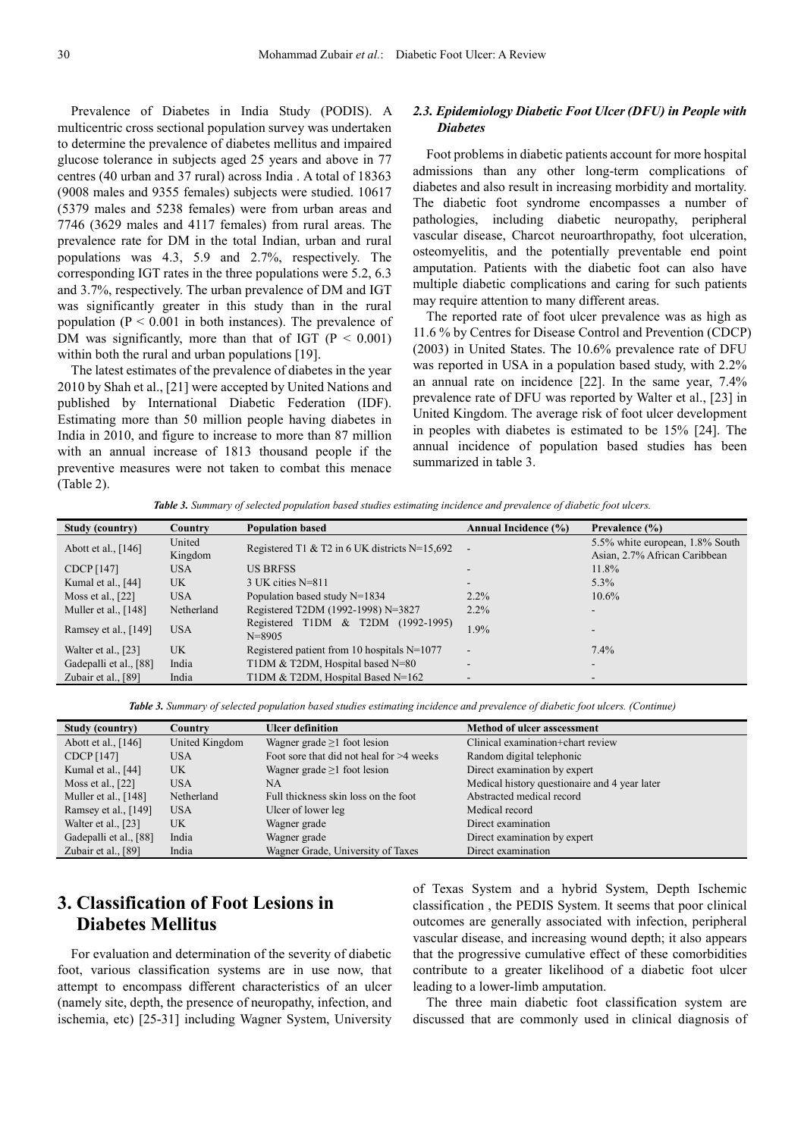Prevalence of Diabetes in India Study (PODIS). A multicentric cross sectional population survey was undertaken to determine the prevalence of diabetes mellitus and impaired glucose tolerance in subjects aged 25 years and above in 77 centres (40 urban and 37 rural) across India . A total of 18363 (9008 males and 9355 females) subjects were studied. 10617 (5379 males and 5238 females) were from urban areas and 7746 (3629 males and 4117 females) from rural areas. The prevalence rate for DM in the total Indian, urban and rural populations was 4.3, 5.9 and 2.7%, respectively. The corresponding IGT rates in the three populations were 5.2, 6.3 and 3.7%, respectively. The urban prevalence of DM and IGT was significantly greater in this study than in the rural population ( $P < 0.001$  in both instances). The prevalence of DM was significantly, more than that of IGT ( $P < 0.001$ ) within both the rural and urban populations [19].

The latest estimates of the prevalence of diabetes in the year 2010 by Shah et al., [21] were accepted by United Nations and published by International Diabetic Federation (IDF). Estimating more than 50 million people having diabetes in India in 2010, and figure to increase to more than 87 million with an annual increase of 1813 thousand people if the preventive measures were not taken to combat this menace (Table 2).

### *2.3. Epidemiology Diabetic Foot Ulcer (DFU) in People with Diabetes*

Foot problems in diabetic patients account for more hospital admissions than any other long-term complications of diabetes and also result in increasing morbidity and mortality. The diabetic foot syndrome encompasses a number of pathologies, including diabetic neuropathy, peripheral vascular disease, Charcot neuroarthropathy, foot ulceration, osteomyelitis, and the potentially preventable end point amputation. Patients with the diabetic foot can also have multiple diabetic complications and caring for such patients may require attention to many different areas.

The reported rate of foot ulcer prevalence was as high as 11.6 % by Centres for Disease Control and Prevention (CDCP) (2003) in United States. The 10.6% prevalence rate of DFU was reported in USA in a population based study, with 2.2% an annual rate on incidence [22]. In the same year, 7.4% prevalence rate of DFU was reported by Walter et al., [23] in United Kingdom. The average risk of foot ulcer development in peoples with diabetes is estimated to be 15% [24]. The annual incidence of population based studies has been summarized in table 3.

*Table 3. Summary of selected population based studies estimating incidence and prevalence of diabetic foot ulcers.* 

| Study (country)        | Country      | <b>Population based</b>                          | <b>Annual Incidence (%)</b> | Prevalence $(\% )$              |
|------------------------|--------------|--------------------------------------------------|-----------------------------|---------------------------------|
|                        | United       | Registered T1 & T2 in 6 UK districts $N=15,692$  | $\blacksquare$              | 5.5% white european, 1.8% South |
| Abott et al., $[146]$  | Kingdom      |                                                  |                             | Asian, 2.7% African Caribbean   |
| CDCP [147]             | <b>USA</b>   | <b>US BRESS</b>                                  |                             | 11.8%                           |
| Kumal et al., $[44]$   | UK.          | $3$ UK cities N=811                              | $\overline{\phantom{a}}$    | $5.3\%$                         |
| Moss et al., $[22]$    | <b>USA</b>   | Population based study N=1834                    | $2.2\%$                     | 10.6%                           |
| Muller et al., $[148]$ | Netherland   | Registered T2DM (1992-1998) N=3827               | $2.2\%$                     | -                               |
| Ramsey et al., $[149]$ | <b>USA</b>   | Registered T1DM & T2DM (1992-1995)<br>$N = 8905$ | 1.9%                        |                                 |
| Walter et al., [23]    | $_{\rm{UK}}$ | Registered patient from 10 hospitals $N=1077$    | $\blacksquare$              | $7.4\%$                         |
| Gadepalli et al., [88] | India        | T1DM & T2DM, Hospital based N=80                 | $\overline{\phantom{a}}$    | -                               |
| Zubair et al., [89]    | India        | T1DM & T2DM, Hospital Based N=162                | $\blacksquare$              | -                               |

*Table 3. Summary of selected population based studies estimating incidence and prevalence of diabetic foot ulcers. (Continue)* 

| Study (country)        | Country        | <b>Ulcer definition</b>                    | <b>Method of ulcer asscessment</b>            |
|------------------------|----------------|--------------------------------------------|-----------------------------------------------|
| Abott et al., [146]    | United Kingdom | Wagner grade $\geq 1$ foot lesion          | Clinical examination+chart review             |
| CDCP [147]             | <b>USA</b>     | Foot sore that did not heal for $>4$ weeks | Random digital telephonic                     |
| Kumal et al., [44]     | UK             | Wagner grade $\geq 1$ foot lesion          | Direct examination by expert                  |
| Moss et al., $[22]$    | <b>USA</b>     | NA.                                        | Medical history questionaire and 4 year later |
| Muller et al., [148]   | Netherland     | Full thickness skin loss on the foot       | Abstracted medical record                     |
| Ramsey et al., [149]   | <b>USA</b>     | Ulcer of lower leg                         | Medical record                                |
| Walter et al., [23]    | UK             | Wagner grade                               | Direct examination                            |
| Gadepalli et al., [88] | India          | Wagner grade                               | Direct examination by expert                  |
| Zubair et al., [89]    | India          | Wagner Grade, University of Taxes          | Direct examination                            |

### **3. Classification of Foot Lesions in Diabetes Mellitus**

For evaluation and determination of the severity of diabetic foot, various classification systems are in use now, that attempt to encompass different characteristics of an ulcer (namely site, depth, the presence of neuropathy, infection, and ischemia, etc) [25-31] including Wagner System, University

of Texas System and a hybrid System, Depth Ischemic classification , the PEDIS System. It seems that poor clinical outcomes are generally associated with infection, peripheral vascular disease, and increasing wound depth; it also appears that the progressive cumulative effect of these comorbidities contribute to a greater likelihood of a diabetic foot ulcer leading to a lower-limb amputation.

The three main diabetic foot classification system are discussed that are commonly used in clinical diagnosis of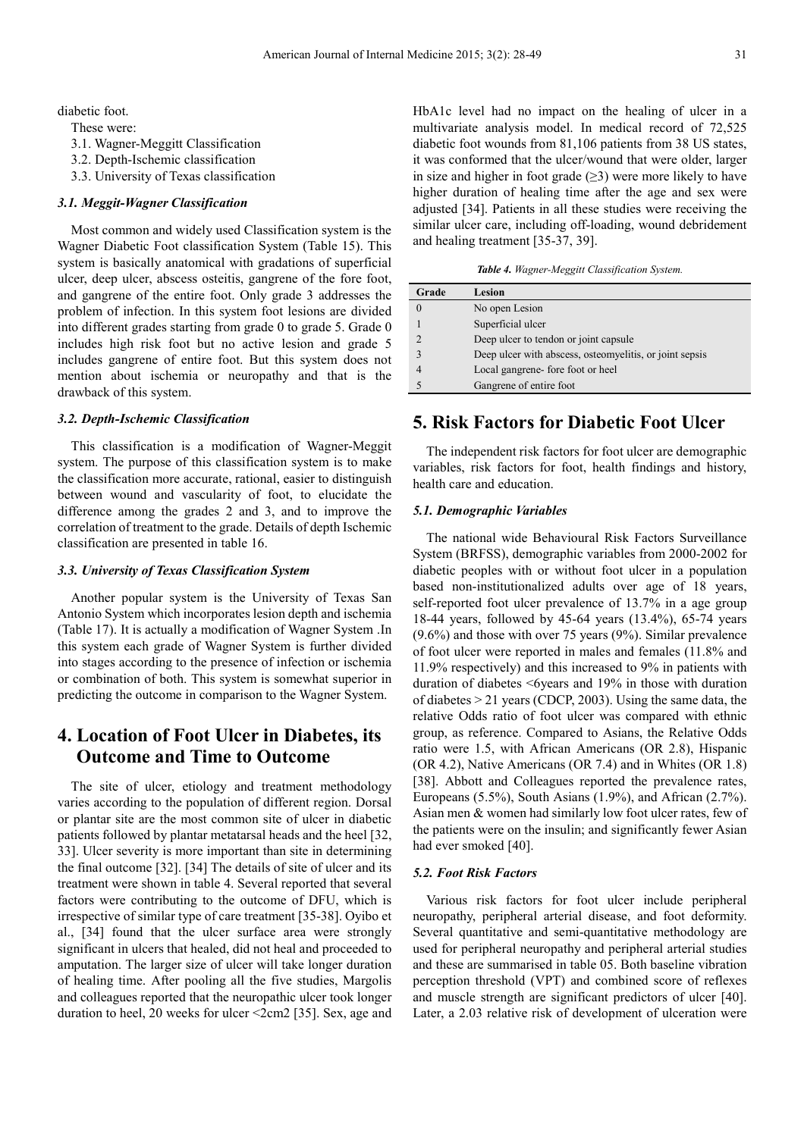diabetic foot.

These were:

3.1. Wagner-Meggitt Classification

3.2. Depth-Ischemic classification

3.3. University of Texas classification

### *3.1. Meggit-Wagner Classification*

Most common and widely used Classification system is the Wagner Diabetic Foot classification System (Table 15). This system is basically anatomical with gradations of superficial ulcer, deep ulcer, abscess osteitis, gangrene of the fore foot, and gangrene of the entire foot. Only grade 3 addresses the problem of infection. In this system foot lesions are divided into different grades starting from grade 0 to grade 5. Grade 0 includes high risk foot but no active lesion and grade 5 includes gangrene of entire foot. But this system does not mention about ischemia or neuropathy and that is the drawback of this system.

### *3.2. Depth-Ischemic Classification*

This classification is a modification of Wagner-Meggit system. The purpose of this classification system is to make the classification more accurate, rational, easier to distinguish between wound and vascularity of foot, to elucidate the difference among the grades 2 and 3, and to improve the correlation of treatment to the grade. Details of depth Ischemic classification are presented in table 16.

### *3.3. University of Texas Classification System*

Another popular system is the University of Texas San Antonio System which incorporates lesion depth and ischemia (Table 17). It is actually a modification of Wagner System .In this system each grade of Wagner System is further divided into stages according to the presence of infection or ischemia or combination of both. This system is somewhat superior in predicting the outcome in comparison to the Wagner System.

### **4. Location of Foot Ulcer in Diabetes, its Outcome and Time to Outcome**

The site of ulcer, etiology and treatment methodology varies according to the population of different region. Dorsal or plantar site are the most common site of ulcer in diabetic patients followed by plantar metatarsal heads and the heel [32, 33]. Ulcer severity is more important than site in determining the final outcome [32]. [34] The details of site of ulcer and its treatment were shown in table 4. Several reported that several factors were contributing to the outcome of DFU, which is irrespective of similar type of care treatment [35-38]. Oyibo et al., [34] found that the ulcer surface area were strongly significant in ulcers that healed, did not heal and proceeded to amputation. The larger size of ulcer will take longer duration of healing time. After pooling all the five studies, Margolis and colleagues reported that the neuropathic ulcer took longer duration to heel, 20 weeks for ulcer <2cm2 [35]. Sex, age and

HbA1c level had no impact on the healing of ulcer in a multivariate analysis model. In medical record of 72,525 diabetic foot wounds from 81,106 patients from 38 US states, it was conformed that the ulcer/wound that were older, larger in size and higher in foot grade  $(\geq 3)$  were more likely to have higher duration of healing time after the age and sex were adjusted [34]. Patients in all these studies were receiving the similar ulcer care, including off-loading, wound debridement and healing treatment [35-37, 39].

*Table 4. Wagner-Meggitt Classification System.* 

| Grade         | Lesion                                                  |
|---------------|---------------------------------------------------------|
|               | No open Lesion                                          |
|               | Superficial ulcer                                       |
| $\mathcal{D}$ | Deep ulcer to tendon or joint capsule                   |
| 3             | Deep ulcer with abscess, osteomyelitis, or joint sepsis |
|               | Local gangrene-fore foot or heel                        |
|               | Gangrene of entire foot                                 |

### **5. Risk Factors for Diabetic Foot Ulcer**

The independent risk factors for foot ulcer are demographic variables, risk factors for foot, health findings and history, health care and education.

#### *5.1. Demographic Variables*

The national wide Behavioural Risk Factors Surveillance System (BRFSS), demographic variables from 2000-2002 for diabetic peoples with or without foot ulcer in a population based non-institutionalized adults over age of 18 years, self-reported foot ulcer prevalence of 13.7% in a age group 18-44 years, followed by 45-64 years (13.4%), 65-74 years (9.6%) and those with over 75 years (9%). Similar prevalence of foot ulcer were reported in males and females (11.8% and 11.9% respectively) and this increased to 9% in patients with duration of diabetes <6years and 19% in those with duration of diabetes > 21 years (CDCP, 2003). Using the same data, the relative Odds ratio of foot ulcer was compared with ethnic group, as reference. Compared to Asians, the Relative Odds ratio were 1.5, with African Americans (OR 2.8), Hispanic (OR 4.2), Native Americans (OR 7.4) and in Whites (OR 1.8) [38]. Abbott and Colleagues reported the prevalence rates, Europeans (5.5%), South Asians (1.9%), and African (2.7%). Asian men & women had similarly low foot ulcer rates, few of the patients were on the insulin; and significantly fewer Asian had ever smoked [40].

#### *5.2. Foot Risk Factors*

Various risk factors for foot ulcer include peripheral neuropathy, peripheral arterial disease, and foot deformity. Several quantitative and semi-quantitative methodology are used for peripheral neuropathy and peripheral arterial studies and these are summarised in table 05. Both baseline vibration perception threshold (VPT) and combined score of reflexes and muscle strength are significant predictors of ulcer [40]. Later, a 2.03 relative risk of development of ulceration were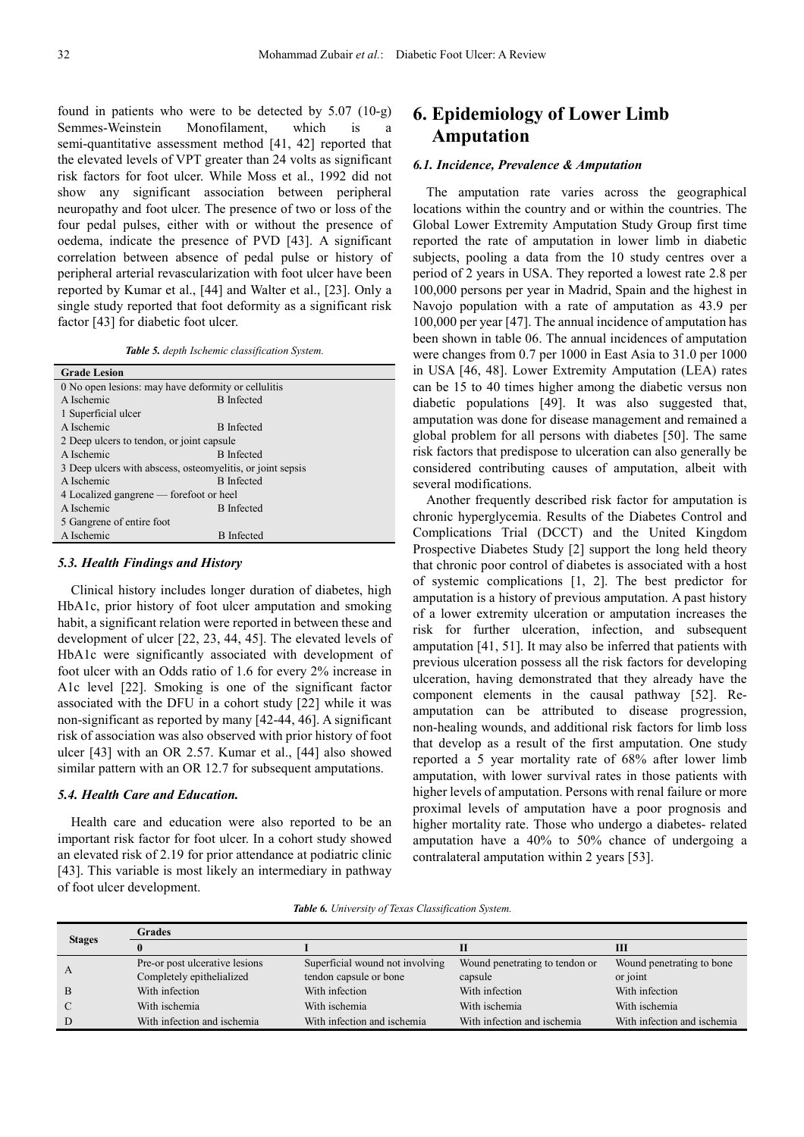found in patients who were to be detected by 5.07 (10-g) Semmes-Weinstein Monofilament, which is a semi-quantitative assessment method [41, 42] reported that the elevated levels of VPT greater than 24 volts as significant risk factors for foot ulcer. While Moss et al., 1992 did not show any significant association between peripheral neuropathy and foot ulcer. The presence of two or loss of the four pedal pulses, either with or without the presence of oedema, indicate the presence of PVD [43]. A significant correlation between absence of pedal pulse or history of peripheral arterial revascularization with foot ulcer have been reported by Kumar et al., [44] and Walter et al., [23]. Only a single study reported that foot deformity as a significant risk factor [43] for diabetic foot ulcer.

| Table 5. depth Ischemic classification System. |  |
|------------------------------------------------|--|
|------------------------------------------------|--|

| <b>Grade Lesion</b>                                        |                   |  |  |  |
|------------------------------------------------------------|-------------------|--|--|--|
| 0 No open lesions: may have deformity or cellulitis        |                   |  |  |  |
| A Ischemic                                                 | <b>B</b> Infected |  |  |  |
| 1 Superficial ulcer                                        |                   |  |  |  |
| A Ischemic                                                 | <b>B</b> Infected |  |  |  |
| 2 Deep ulcers to tendon, or joint capsule                  |                   |  |  |  |
| A Ischemic                                                 | <b>B</b> Infected |  |  |  |
| 3 Deep ulcers with abscess, osteomyelitis, or joint sepsis |                   |  |  |  |
| A Ischemic                                                 | <b>B</b> Infected |  |  |  |
| 4 Localized gangrene — forefoot or heel                    |                   |  |  |  |
| A Ischemic                                                 | <b>B</b> Infected |  |  |  |
| 5 Gangrene of entire foot                                  |                   |  |  |  |
| A Ischemic                                                 | <b>B</b> Infected |  |  |  |

#### *5.3. Health Findings and History*

Clinical history includes longer duration of diabetes, high HbA1c, prior history of foot ulcer amputation and smoking habit, a significant relation were reported in between these and development of ulcer [22, 23, 44, 45]. The elevated levels of HbA1c were significantly associated with development of foot ulcer with an Odds ratio of 1.6 for every 2% increase in A1c level [22]. Smoking is one of the significant factor associated with the DFU in a cohort study [22] while it was non-significant as reported by many [42-44, 46]. A significant risk of association was also observed with prior history of foot ulcer [43] with an OR 2.57. Kumar et al., [44] also showed similar pattern with an OR 12.7 for subsequent amputations.

#### *5.4. Health Care and Education.*

Health care and education were also reported to be an important risk factor for foot ulcer. In a cohort study showed an elevated risk of 2.19 for prior attendance at podiatric clinic [43]. This variable is most likely an intermediary in pathway of foot ulcer development.

### **6. Epidemiology of Lower Limb Amputation**

#### *6.1. Incidence, Prevalence & Amputation*

The amputation rate varies across the geographical locations within the country and or within the countries. The Global Lower Extremity Amputation Study Group first time reported the rate of amputation in lower limb in diabetic subjects, pooling a data from the 10 study centres over a period of 2 years in USA. They reported a lowest rate 2.8 per 100,000 persons per year in Madrid, Spain and the highest in Navojo population with a rate of amputation as 43.9 per 100,000 per year [47]. The annual incidence of amputation has been shown in table 06. The annual incidences of amputation were changes from 0.7 per 1000 in East Asia to 31.0 per 1000 in USA [46, 48]. Lower Extremity Amputation (LEA) rates can be 15 to 40 times higher among the diabetic versus non diabetic populations [49]. It was also suggested that, amputation was done for disease management and remained a global problem for all persons with diabetes [50]. The same risk factors that predispose to ulceration can also generally be considered contributing causes of amputation, albeit with several modifications.

Another frequently described risk factor for amputation is chronic hyperglycemia. Results of the Diabetes Control and Complications Trial (DCCT) and the United Kingdom Prospective Diabetes Study [2] support the long held theory that chronic poor control of diabetes is associated with a host of systemic complications [1, 2]. The best predictor for amputation is a history of previous amputation. A past history of a lower extremity ulceration or amputation increases the risk for further ulceration, infection, and subsequent amputation [41, 51]. It may also be inferred that patients with previous ulceration possess all the risk factors for developing ulceration, having demonstrated that they already have the component elements in the causal pathway [52]. Reamputation can be attributed to disease progression, non-healing wounds, and additional risk factors for limb loss that develop as a result of the first amputation. One study reported a 5 year mortality rate of 68% after lower limb amputation, with lower survival rates in those patients with higher levels of amputation. Persons with renal failure or more proximal levels of amputation have a poor prognosis and higher mortality rate. Those who undergo a diabetes- related amputation have a 40% to 50% chance of undergoing a contralateral amputation within 2 years [53].

| Table 6. University of Texas Classification System. |  |
|-----------------------------------------------------|--|
|-----------------------------------------------------|--|

| <b>Stages</b> | <b>Grades</b>                  |                                 |                                |                             |  |
|---------------|--------------------------------|---------------------------------|--------------------------------|-----------------------------|--|
|               |                                |                                 |                                | Ш                           |  |
| $\mathbf{A}$  | Pre-or post ulcerative lesions | Superficial wound not involving | Wound penetrating to tendon or | Wound penetrating to bone   |  |
|               | Completely epithelialized      | tendon capsule or bone          | capsule                        | or joint                    |  |
| B             | With infection                 | With infection                  | With infection                 | With infection              |  |
| $\mathcal{C}$ | With ischemia                  | With ischemia                   | With ischemia                  | With ischemia               |  |
| D             | With infection and ischemia    | With infection and ischemia     | With infection and ischemia    | With infection and ischemia |  |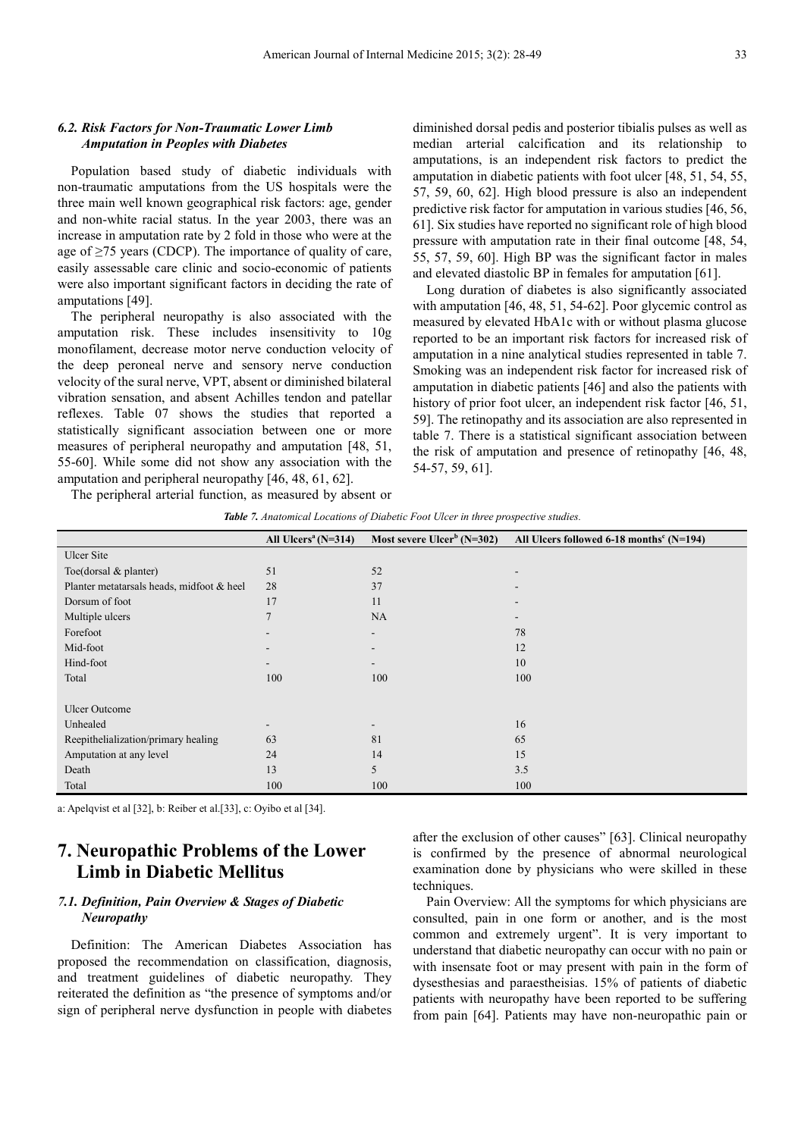### *6.2. Risk Factors for Non-Traumatic Lower Limb Amputation in Peoples with Diabetes*

Population based study of diabetic individuals with non-traumatic amputations from the US hospitals were the three main well known geographical risk factors: age, gender and non-white racial status. In the year 2003, there was an increase in amputation rate by 2 fold in those who were at the age of  $\geq$ 75 years (CDCP). The importance of quality of care, easily assessable care clinic and socio-economic of patients were also important significant factors in deciding the rate of amputations [49].

The peripheral neuropathy is also associated with the amputation risk. These includes insensitivity to 10g monofilament, decrease motor nerve conduction velocity of the deep peroneal nerve and sensory nerve conduction velocity of the sural nerve, VPT, absent or diminished bilateral vibration sensation, and absent Achilles tendon and patellar reflexes. Table 07 shows the studies that reported a statistically significant association between one or more measures of peripheral neuropathy and amputation [48, 51, 55-60]. While some did not show any association with the amputation and peripheral neuropathy [46, 48, 61, 62].

diminished dorsal pedis and posterior tibialis pulses as well as median arterial calcification and its relationship to amputations, is an independent risk factors to predict the amputation in diabetic patients with foot ulcer [48, 51, 54, 55, 57, 59, 60, 62]. High blood pressure is also an independent predictive risk factor for amputation in various studies [46, 56, 61]. Six studies have reported no significant role of high blood pressure with amputation rate in their final outcome [48, 54, 55, 57, 59, 60]. High BP was the significant factor in males and elevated diastolic BP in females for amputation [61].

Long duration of diabetes is also significantly associated with amputation [46, 48, 51, 54-62]. Poor glycemic control as measured by elevated HbA1c with or without plasma glucose reported to be an important risk factors for increased risk of amputation in a nine analytical studies represented in table 7. Smoking was an independent risk factor for increased risk of amputation in diabetic patients [46] and also the patients with history of prior foot ulcer, an independent risk factor [46, 51, 59]. The retinopathy and its association are also represented in table 7. There is a statistical significant association between the risk of amputation and presence of retinopathy [46, 48, 54-57, 59, 61].

The peripheral arterial function, as measured by absent or

|                                           | All Ulcers <sup>a</sup> $(N=314)$ | Most severe $Ulcerb$ (N=302) | All Ulcers followed 6-18 months <sup>c</sup> (N=194) |
|-------------------------------------------|-----------------------------------|------------------------------|------------------------------------------------------|
| Ulcer Site                                |                                   |                              |                                                      |
| Toe(dorsal $&$ planter)                   | 51                                | 52                           | $\overline{\phantom{a}}$                             |
| Planter metatarsals heads, midfoot & heel | 28                                | 37                           |                                                      |
| Dorsum of foot                            | 17                                | 11                           |                                                      |
| Multiple ulcers                           | $\overline{7}$                    | NA                           |                                                      |
| Forefoot                                  |                                   | ۰                            | 78                                                   |
| Mid-foot                                  |                                   | -                            | 12                                                   |
| Hind-foot                                 | $\overline{\phantom{a}}$          | ۰                            | 10                                                   |
| Total                                     | 100                               | 100                          | 100                                                  |
|                                           |                                   |                              |                                                      |
| <b>Ulcer Outcome</b>                      |                                   |                              |                                                      |
| Unhealed                                  | ۰                                 | -                            | 16                                                   |
| Reepithelialization/primary healing       | 63                                | 81                           | 65                                                   |
| Amputation at any level                   | 24                                | 14                           | 15                                                   |
| Death                                     | 13                                | 5                            | 3.5                                                  |
| Total                                     | 100                               | 100                          | 100                                                  |

a: Apelqvist et al [32], b: Reiber et al.[33], c: Oyibo et al [34].

### **7. Neuropathic Problems of the Lower Limb in Diabetic Mellitus**

### *7.1. Definition, Pain Overview & Stages of Diabetic Neuropathy*

Definition: The American Diabetes Association has proposed the recommendation on classification, diagnosis, and treatment guidelines of diabetic neuropathy. They reiterated the definition as "the presence of symptoms and/or sign of peripheral nerve dysfunction in people with diabetes after the exclusion of other causes" [63]. Clinical neuropathy is confirmed by the presence of abnormal neurological examination done by physicians who were skilled in these techniques.

Pain Overview: All the symptoms for which physicians are consulted, pain in one form or another, and is the most common and extremely urgent". It is very important to understand that diabetic neuropathy can occur with no pain or with insensate foot or may present with pain in the form of dysesthesias and paraestheisias. 15% of patients of diabetic patients with neuropathy have been reported to be suffering from pain [64]. Patients may have non-neuropathic pain or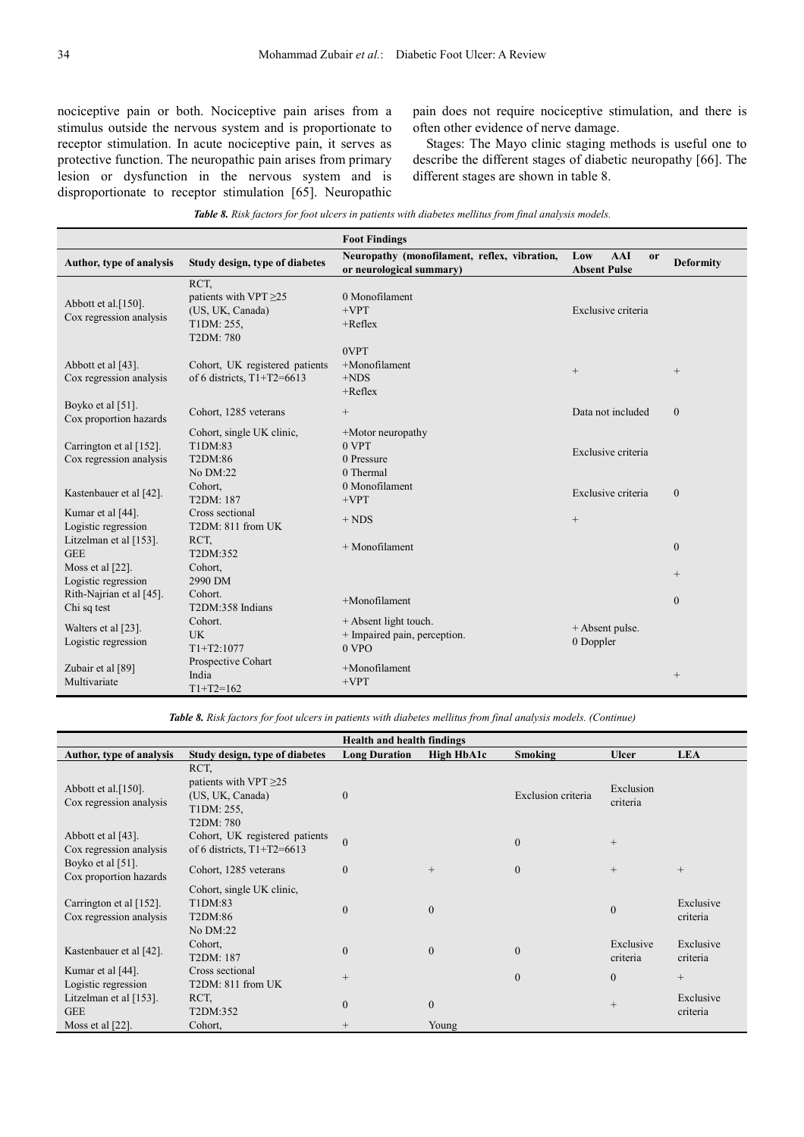nociceptive pain or both. Nociceptive pain arises from a stimulus outside the nervous system and is proportionate to receptor stimulation. In acute nociceptive pain, it serves as protective function. The neuropathic pain arises from primary lesion or dysfunction in the nervous system and is disproportionate to receptor stimulation [65]. Neuropathic

pain does not require nociceptive stimulation, and there is often other evidence of nerve damage.

Stages: The Mayo clinic staging methods is useful one to describe the different stages of diabetic neuropathy [66]. The different stages are shown in table 8.

|  |  |  | Table 8. Risk factors for foot ulcers in patients with diabetes mellitus from final analysis models. |
|--|--|--|------------------------------------------------------------------------------------------------------|
|  |  |  |                                                                                                      |

|                                                    |                                                                                    | <b>Foot Findings</b>                                                     |                                                                               |
|----------------------------------------------------|------------------------------------------------------------------------------------|--------------------------------------------------------------------------|-------------------------------------------------------------------------------|
| Author, type of analysis                           | Study design, type of diabetes                                                     | Neuropathy (monofilament, reflex, vibration,<br>or neurological summary) | <b>AAI</b><br>Low<br><sub>or</sub><br><b>Deformity</b><br><b>Absent Pulse</b> |
| Abbott et al.[150].<br>Cox regression analysis     | RCT.<br>patients with VPT $\geq$ 25<br>(US, UK, Canada)<br>T1DM: 255,<br>T2DM: 780 | 0 Monofilament<br>$+VPT$<br>$+Reflex$<br>0VPT                            | Exclusive criteria                                                            |
| Abbott et al [43].<br>Cox regression analysis      | Cohort, UK registered patients<br>of 6 districts, $T1+T2=6613$                     | $+$ Monofilament<br>$+NDS$<br>$+$ Reflex                                 | $\qquad \qquad +$<br>$^{+}$                                                   |
| Boyko et al [51].<br>Cox proportion hazards        | Cohort, 1285 veterans                                                              | $^{+}$                                                                   | Data not included<br>$\mathbf{0}$                                             |
| Carrington et al [152].<br>Cox regression analysis | Cohort, single UK clinic,<br>T1DM:83<br>T2DM:86<br>No DM:22                        | +Motor neuropathy<br>0 <sub>VPT</sub><br>0 Pressure<br>0 Thermal         | Exclusive criteria                                                            |
| Kastenbauer et al [42].                            | Cohort,<br>T2DM: 187                                                               | 0 Monofilament<br>$+VPT$                                                 | Exclusive criteria<br>$\mathbf{0}$                                            |
| Kumar et al [44].<br>Logistic regression           | Cross sectional<br>T2DM: 811 from UK                                               | $+ NDS$                                                                  | $^{+}$                                                                        |
| Litzelman et al [153].<br><b>GEE</b>               | RCT.<br>T2DM:352                                                                   | $+$ Monofilament                                                         | $\overline{0}$                                                                |
| Moss et al [22].<br>Logistic regression            | Cohort,<br>2990 DM                                                                 |                                                                          | $^{+}$                                                                        |
| Rith-Najrian et al [45].<br>Chi sq test            | Cohort.<br>T2DM:358 Indians                                                        | $+$ Monofilament                                                         | $\Omega$                                                                      |
| Walters et al [23].<br>Logistic regression         | Cohort.<br><b>UK</b><br>$T1+T2:1077$                                               | + Absent light touch.<br>+ Impaired pain, perception.<br>$0$ VPO         | + Absent pulse.<br>0 Doppler                                                  |
| Zubair et al [89]<br>Multivariate                  | Prospective Cohart<br>India<br>$T1+T2=162$                                         | +Monofilament<br>$+VPT$                                                  |                                                                               |

*Table 8. Risk factors for foot ulcers in patients with diabetes mellitus from final analysis models. (Continue)*

| <b>Health and health findings</b>                     |                                                                                    |                      |              |                    |                       |                       |  |
|-------------------------------------------------------|------------------------------------------------------------------------------------|----------------------|--------------|--------------------|-----------------------|-----------------------|--|
| Author, type of analysis                              | Study design, type of diabetes                                                     | <b>Long Duration</b> | High HbA1c   | <b>Smoking</b>     | <b>Ulcer</b>          | <b>LEA</b>            |  |
| Abbott et al. $[150]$ .<br>Cox regression analysis    | RCT,<br>patients with VPT $\geq$ 25<br>(US, UK, Canada)<br>T1DM: 255,<br>T2DM: 780 | $\theta$             |              | Exclusion criteria | Exclusion<br>criteria |                       |  |
| Abbott et al $[43]$ .<br>Cox regression analysis      | Cohort, UK registered patients<br>of 6 districts, $T1+T2=6613$                     | $\overline{0}$       |              | $\Omega$           | $^{+}$                |                       |  |
| Boyko et al [51].<br>Cox proportion hazards           | Cohort, 1285 veterans                                                              | $\theta$             |              | $\theta$           | $^{+}$                | $+$                   |  |
| Carrington et al $[152]$ .<br>Cox regression analysis | Cohort, single UK clinic,<br>T1DM:83<br>T2DM:86<br>No DM:22                        | $\theta$             | $\mathbf{0}$ |                    | $\mathbf{0}$          | Exclusive<br>criteria |  |
| Kastenbauer et al [42].                               | Cohort,<br>T2DM: 187                                                               | $\theta$             | $\mathbf{0}$ | $\overline{0}$     | Exclusive<br>criteria | Exclusive<br>criteria |  |
| Kumar et al [44].<br>Logistic regression              | Cross sectional<br>T2DM: 811 from UK                                               | $^{+}$               |              | $\Omega$           | $\mathbf{0}$          | $+$                   |  |
| Litzelman et al $[153]$ .<br><b>GEE</b>               | RCT,<br>T2DM:352                                                                   | $\mathbf{0}$         | $\mathbf{0}$ |                    | $\qquad \qquad +$     | Exclusive<br>criteria |  |
| Moss et al $[22]$ .                                   | Cohort.                                                                            | $^{+}$               | Young        |                    |                       |                       |  |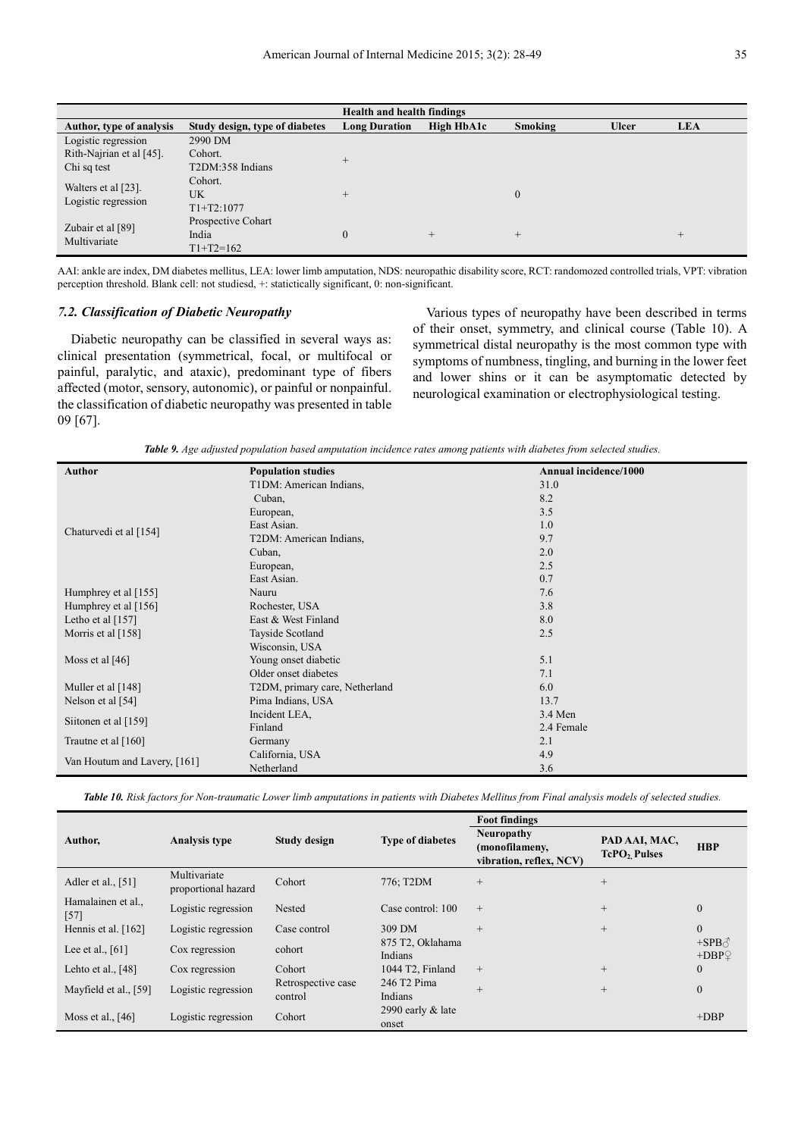| <b>Health and health findings</b>          |                                            |                      |            |                |              |            |  |
|--------------------------------------------|--------------------------------------------|----------------------|------------|----------------|--------------|------------|--|
| Author, type of analysis                   | Study design, type of diabetes             | <b>Long Duration</b> | High HbA1c | Smoking        | <b>Ulcer</b> | <b>LEA</b> |  |
| Logistic regression                        | 2990 DM                                    |                      |            |                |              |            |  |
| Rith-Najrian et al [45].                   | Cohort.                                    | $^{+}$               |            |                |              |            |  |
| Chi sq test                                | T2DM:358 Indians                           |                      |            |                |              |            |  |
| Walters et al [23].<br>Logistic regression | Cohort.<br><b>UK</b><br>$T1+T2:1077$       | $^{+}$               |            | $\overline{0}$ |              |            |  |
| Zubair et al [89]<br>Multivariate          | Prospective Cohart<br>India<br>$T1+T2=162$ |                      | $^{+}$     | $+$            |              | $^{+}$     |  |

AAI: ankle are index, DM diabetes mellitus, LEA: lower limb amputation, NDS: neuropathic disability score, RCT: randomozed controlled trials, VPT: vibration perception threshold. Blank cell: not studiesd, +: statictically significant, 0: non-significant.

### *7.2. Classification of Diabetic Neuropathy*

Diabetic neuropathy can be classified in several ways as: clinical presentation (symmetrical, focal, or multifocal or painful, paralytic, and ataxic), predominant type of fibers affected (motor, sensory, autonomic), or painful or nonpainful. the classification of diabetic neuropathy was presented in table 09 [67].

Various types of neuropathy have been described in terms of their onset, symmetry, and clinical course (Table 10). A symmetrical distal neuropathy is the most common type with symptoms of numbness, tingling, and burning in the lower feet and lower shins or it can be asymptomatic detected by neurological examination or electrophysiological testing.

*Table 9. Age adjusted population based amputation incidence rates among patients with diabetes from selected studies.* 

| <b>Author</b>                | <b>Population studies</b>      | Annual incidence/1000 |
|------------------------------|--------------------------------|-----------------------|
|                              | T1DM: American Indians,        | 31.0                  |
|                              | Cuban,                         | 8.2                   |
|                              | European,                      | 3.5                   |
| Chaturvedi et al [154]       | East Asian.                    | 1.0                   |
|                              | T2DM: American Indians,        | 9.7                   |
|                              | Cuban,                         | 2.0                   |
|                              | European,                      | 2.5                   |
|                              | East Asian.                    | 0.7                   |
| Humphrey et al [155]         | Nauru                          | 7.6                   |
| Humphrey et al $[156]$       | Rochester, USA                 | 3.8                   |
| Letho et al $[157]$          | East & West Finland            | 8.0                   |
| Morris et al [158]           | Tayside Scotland               | 2.5                   |
|                              | Wisconsin, USA                 |                       |
| Moss et al $[46]$            | Young onset diabetic           | 5.1                   |
|                              | Older onset diabetes           | 7.1                   |
| Muller et al [148]           | T2DM, primary care, Netherland | 6.0                   |
| Nelson et al $[54]$          | Pima Indians, USA              | 13.7                  |
|                              | Incident LEA,                  | 3.4 Men               |
| Siitonen et al [159]         | Finland                        | 2.4 Female            |
| Trautne et al [160]          | Germany                        | 2.1                   |
|                              | California, USA                | 4.9                   |
| Van Houtum and Lavery, [161] | Netherland                     | 3.6                   |

*Table 10. Risk factors for Non-traumatic Lower limb amputations in patients with Diabetes Mellitus from Final analysis models of selected studies.* 

|                              |                                     |                               |                               | <b>Foot findings</b>                                           |                                           |                                |  |
|------------------------------|-------------------------------------|-------------------------------|-------------------------------|----------------------------------------------------------------|-------------------------------------------|--------------------------------|--|
| Author,                      | <b>Analysis type</b>                | <b>Study design</b>           | <b>Type of diabetes</b>       | <b>Neuropathy</b><br>(monofilameny,<br>vibration, reflex, NCV) | PAD AAI, MAC,<br>TcPO <sub>2</sub> Pulses | <b>HBP</b>                     |  |
| Adler et al., [51]           | Multivariate<br>proportional hazard | Cohort                        | 776; T2DM                     | $+$                                                            | $+$                                       |                                |  |
| Hamalainen et al.,<br>$[57]$ | Logistic regression                 | Nested                        | Case control: 100             | $+$                                                            | $^{+}$                                    | $\mathbf{0}$                   |  |
| Hennis et al. [162]          | Logistic regression                 | Case control                  | 309 DM                        | $+$                                                            | $+$                                       | $\Omega$                       |  |
| Lee et al., $[61]$           | Cox regression                      | cohort                        | 875 T2, Oklahama<br>Indians   |                                                                |                                           | $+$ SPB $\triangle$<br>$+DBPQ$ |  |
| Lehto et al., $[48]$         | Cox regression                      | Cohort                        | 1044 T2, Finland              | $+$                                                            | $^{+}$                                    | $\mathbf{0}$                   |  |
| Mayfield et al., [59]        | Logistic regression                 | Retrospective case<br>control | 246 T2 Pima<br>Indians        | $+$                                                            | $^{+}$                                    | $\mathbf{0}$                   |  |
| Moss et al., $[46]$          | Logistic regression                 | Cohort                        | 2990 early $\&$ late<br>onset |                                                                |                                           | $+DBP$                         |  |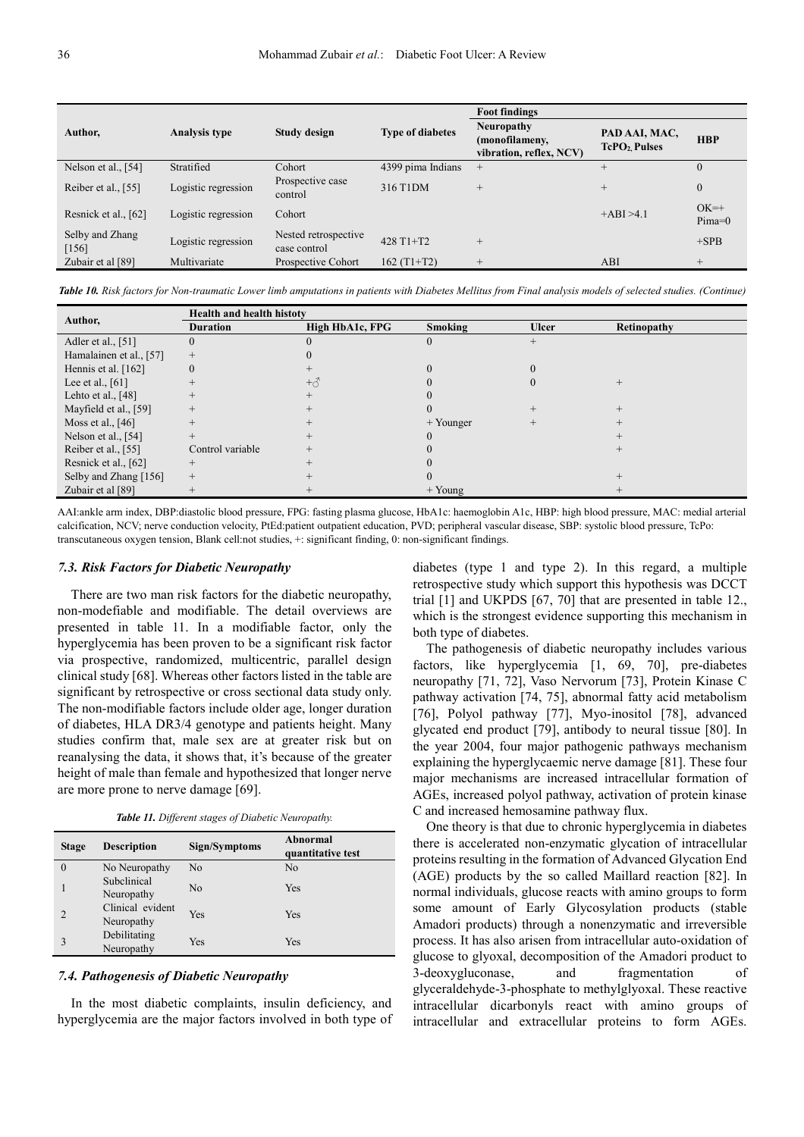|                            |                      |                                      |                         | <b>Foot findings</b>                                           |                                           |                    |
|----------------------------|----------------------|--------------------------------------|-------------------------|----------------------------------------------------------------|-------------------------------------------|--------------------|
| Author,                    | <b>Analysis type</b> | Study design                         | <b>Type of diabetes</b> | <b>Neuropathy</b><br>(monofilameny,<br>vibration, reflex, NCV) | PAD AAI, MAC,<br>TcPO <sub>2</sub> Pulses | <b>HBP</b>         |
| Nelson et al., $[54]$      | Stratified           | Cohort                               | 4399 pima Indians       | $^{+}$                                                         | $^{+}$                                    | $\theta$           |
| Reiber et al., [55]        | Logistic regression  | Prospective case<br>control          | 316 T1DM                | $^{+}$                                                         | $^{+}$                                    | $\mathbf{0}$       |
| Resnick et al., [62]       | Logistic regression  | Cohort                               |                         |                                                                | $+ABI > 4.1$                              | $OK=+$<br>$Pima=0$ |
| Selby and Zhang<br>$[156]$ | Logistic regression  | Nested retrospective<br>case control | 428 T1+T2               | $^{+}$                                                         |                                           | $+SPB$             |
| Zubair et al [89]          | Multivariate         | Prospective Cohort                   | $162(T1+T2)$            | $^{+}$                                                         | ABI                                       | $+$                |

*Table 10. Risk factors for Non-traumatic Lower limb amputations in patients with Diabetes Mellitus from Final analysis models of selected studies. (Continue)* 

|                         | <b>Health and health histoty</b>   |           |           |              |             |  |  |
|-------------------------|------------------------------------|-----------|-----------|--------------|-------------|--|--|
| Author,                 | <b>Duration</b><br>High HbA1c, FPG |           | Smoking   | <b>Ulcer</b> | Retinopathy |  |  |
| Adler et al., [51]      | U                                  |           | $_{0}$    |              |             |  |  |
| Hamalainen et al., [57] | $^{+}$                             |           |           |              |             |  |  |
| Hennis et al. $[162]$   | $\theta$                           |           |           |              |             |  |  |
| Lee et al., $[61]$      |                                    | $+\delta$ |           |              |             |  |  |
| Lehto et al., $[48]$    |                                    |           |           |              |             |  |  |
| Mayfield et al., [59]   | $^{+}$                             |           |           |              |             |  |  |
| Moss et al., $[46]$     |                                    |           | + Younger |              |             |  |  |
| Nelson et al., [54]     |                                    |           |           |              |             |  |  |
| Reiber et al., $[55]$   | Control variable                   |           |           |              |             |  |  |
| Resnick et al., [62]    | $^{+}$                             |           |           |              |             |  |  |
| Selby and Zhang [156]   | $^{+}$                             |           |           |              |             |  |  |
| Zubair et al [89]       | $^{+}$                             |           | $+$ Young |              |             |  |  |

AAI:ankle arm index, DBP:diastolic blood pressure, FPG: fasting plasma glucose, HbA1c: haemoglobin A1c, HBP: high blood pressure, MAC: medial arterial calcification, NCV; nerve conduction velocity, PtEd:patient outpatient education, PVD; peripheral vascular disease, SBP: systolic blood pressure, TcPo: transcutaneous oxygen tension, Blank cell:not studies, +: significant finding, 0: non-significant findings.

#### *7.3. Risk Factors for Diabetic Neuropathy*

There are two man risk factors for the diabetic neuropathy, non-modefiable and modifiable. The detail overviews are presented in table 11. In a modifiable factor, only the hyperglycemia has been proven to be a significant risk factor via prospective, randomized, multicentric, parallel design clinical study [68]. Whereas other factors listed in the table are significant by retrospective or cross sectional data study only. The non-modifiable factors include older age, longer duration of diabetes, HLA DR3/4 genotype and patients height. Many studies confirm that, male sex are at greater risk but on reanalysing the data, it shows that, it's because of the greater height of male than female and hypothesized that longer nerve are more prone to nerve damage [69].

*Table 11. Different stages of Diabetic Neuropathy.* 

| <b>Stage</b> | <b>Description</b>             | Sign/Symptoms  | Abnormal<br>quantitative test |
|--------------|--------------------------------|----------------|-------------------------------|
| 0            | No Neuropathy                  | N <sub>0</sub> | No                            |
|              | Subclinical<br>Neuropathy      | N <sub>0</sub> | Yes                           |
|              | Clinical evident<br>Neuropathy | Yes            | Yes                           |
|              | Debilitating<br>Neuropathy     | Yes            | Yes                           |

#### *7.4. Pathogenesis of Diabetic Neuropathy*

In the most diabetic complaints, insulin deficiency, and hyperglycemia are the major factors involved in both type of diabetes (type 1 and type 2). In this regard, a multiple retrospective study which support this hypothesis was DCCT trial [1] and UKPDS [67, 70] that are presented in table 12., which is the strongest evidence supporting this mechanism in both type of diabetes.

The pathogenesis of diabetic neuropathy includes various factors, like hyperglycemia [1, 69, 70], pre-diabetes neuropathy [71, 72], Vaso Nervorum [73], Protein Kinase C pathway activation [74, 75], abnormal fatty acid metabolism [76], Polyol pathway [77], Myo-inositol [78], advanced glycated end product [79], antibody to neural tissue [80]. In the year 2004, four major pathogenic pathways mechanism explaining the hyperglycaemic nerve damage [81]. These four major mechanisms are increased intracellular formation of AGEs, increased polyol pathway, activation of protein kinase C and increased hemosamine pathway flux.

One theory is that due to chronic hyperglycemia in diabetes there is accelerated non-enzymatic glycation of intracellular proteins resulting in the formation of Advanced Glycation End (AGE) products by the so called Maillard reaction [82]. In normal individuals, glucose reacts with amino groups to form some amount of Early Glycosylation products (stable Amadori products) through a nonenzymatic and irreversible process. It has also arisen from intracellular auto-oxidation of glucose to glyoxal, decomposition of the Amadori product to 3-deoxygluconase, and fragmentation of glyceraldehyde-3-phosphate to methylglyoxal. These reactive intracellular dicarbonyls react with amino groups of intracellular and extracellular proteins to form AGEs.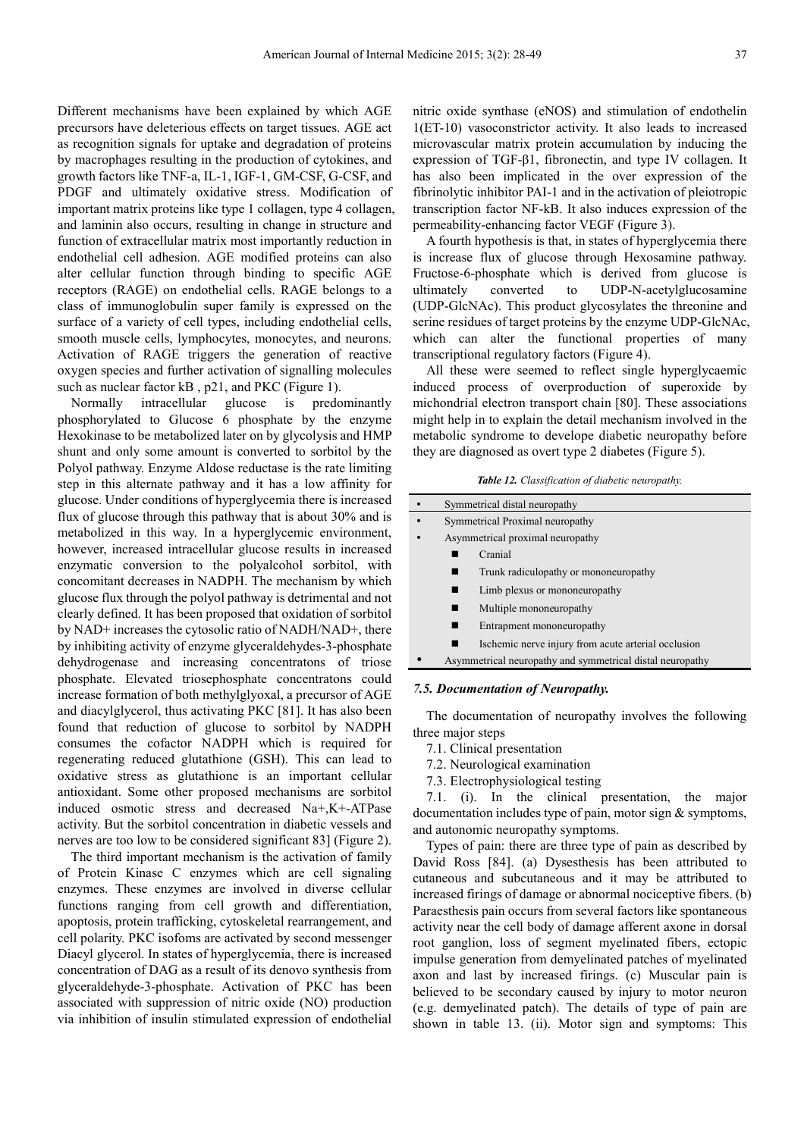Different mechanisms have been explained by which AGE precursors have deleterious effects on target tissues. AGE act as recognition signals for uptake and degradation of proteins by macrophages resulting in the production of cytokines, and growth factors like TNF-a, IL-1, IGF-1, GM-CSF, G-CSF, and PDGF and ultimately oxidative stress. Modification of important matrix proteins like type 1 collagen, type 4 collagen, and laminin also occurs, resulting in change in structure and function of extracellular matrix most importantly reduction in endothelial cell adhesion. AGE modified proteins can also alter cellular function through binding to specific AGE receptors (RAGE) on endothelial cells. RAGE belongs to a class of immunoglobulin super family is expressed on the surface of a variety of cell types, including endothelial cells, smooth muscle cells, lymphocytes, monocytes, and neurons. Activation of RAGE triggers the generation of reactive oxygen species and further activation of signalling molecules such as nuclear factor kB , p21, and PKC (Figure 1).

Normally intracellular glucose is predominantly phosphorylated to Glucose 6 phosphate by the enzyme Hexokinase to be metabolized later on by glycolysis and HMP shunt and only some amount is converted to sorbitol by the Polyol pathway. Enzyme Aldose reductase is the rate limiting step in this alternate pathway and it has a low affinity for glucose. Under conditions of hyperglycemia there is increased flux of glucose through this pathway that is about 30% and is metabolized in this way. In a hyperglycemic environment, however, increased intracellular glucose results in increased enzymatic conversion to the polyalcohol sorbitol, with concomitant decreases in NADPH. The mechanism by which glucose flux through the polyol pathway is detrimental and not clearly defined. It has been proposed that oxidation of sorbitol by NAD+ increases the cytosolic ratio of NADH/NAD+, there by inhibiting activity of enzyme glyceraldehydes-3-phosphate dehydrogenase and increasing concentratons of triose phosphate. Elevated triosephosphate concentratons could increase formation of both methylglyoxal, a precursor of AGE and diacylglycerol, thus activating PKC [81]. It has also been found that reduction of glucose to sorbitol by NADPH consumes the cofactor NADPH which is required for regenerating reduced glutathione (GSH). This can lead to oxidative stress as glutathione is an important cellular antioxidant. Some other proposed mechanisms are sorbitol induced osmotic stress and decreased Na+,K+-ATPase activity. But the sorbitol concentration in diabetic vessels and nerves are too low to be considered significant 83] (Figure 2).

The third important mechanism is the activation of family of Protein Kinase C enzymes which are cell signaling enzymes. These enzymes are involved in diverse cellular functions ranging from cell growth and differentiation, apoptosis, protein trafficking, cytoskeletal rearrangement, and cell polarity. PKC isofoms are activated by second messenger Diacyl glycerol. In states of hyperglycemia, there is increased concentration of DAG as a result of its denovo synthesis from glyceraldehyde-3-phosphate. Activation of PKC has been associated with suppression of nitric oxide (NO) production via inhibition of insulin stimulated expression of endothelial nitric oxide synthase (eNOS) and stimulation of endothelin 1(ET-10) vasoconstrictor activity. It also leads to increased microvascular matrix protein accumulation by inducing the expression of TGF-β1, fibronectin, and type IV collagen. It has also been implicated in the over expression of the fibrinolytic inhibitor PAI-1 and in the activation of pleiotropic transcription factor NF-kB. It also induces expression of the permeability-enhancing factor VEGF (Figure 3).

A fourth hypothesis is that, in states of hyperglycemia there is increase flux of glucose through Hexosamine pathway. Fructose-6-phosphate which is derived from glucose is ultimately converted to UDP-N-acetylglucosamine (UDP-GlcNAc). This product glycosylates the threonine and serine residues of target proteins by the enzyme UDP-GlcNAc, which can alter the functional properties of many transcriptional regulatory factors (Figure 4).

All these were seemed to reflect single hyperglycaemic induced process of overproduction of superoxide by michondrial electron transport chain [80]. These associations might help in to explain the detail mechanism involved in the metabolic syndrome to develope diabetic neuropathy before they are diagnosed as overt type 2 diabetes (Figure 5).

|  | <b>Table 12.</b> Classification of diabetic neuropathy. |  |  |
|--|---------------------------------------------------------|--|--|
|--|---------------------------------------------------------|--|--|

|           | Symmetrical distal neuropathy |                                                           |  |  |  |
|-----------|-------------------------------|-----------------------------------------------------------|--|--|--|
| $\bullet$ |                               | Symmetrical Proximal neuropathy                           |  |  |  |
|           |                               | Asymmetrical proximal neuropathy                          |  |  |  |
|           |                               | Cranial                                                   |  |  |  |
|           |                               | Trunk radiculopathy or mononeuropathy                     |  |  |  |
|           | Limb plexus or mononeuropathy |                                                           |  |  |  |
|           |                               | Multiple mononeuropathy                                   |  |  |  |
|           |                               | Entrapment mononeuropathy                                 |  |  |  |
|           |                               | Ischemic nerve injury from acute arterial occlusion       |  |  |  |
|           |                               | Asymmetrical neuropathy and symmetrical distal neuropathy |  |  |  |

#### *7.5. Documentation of Neuropathy.*

The documentation of neuropathy involves the following three major steps

- 7.1. Clinical presentation
- 7.2. Neurological examination
- 7.3. Electrophysiological testing

7.1. (i). In the clinical presentation, the major documentation includes type of pain, motor sign & symptoms, and autonomic neuropathy symptoms.

Types of pain: there are three type of pain as described by David Ross [84]. (a) Dysesthesis has been attributed to cutaneous and subcutaneous and it may be attributed to increased firings of damage or abnormal nociceptive fibers. (b) Paraesthesis pain occurs from several factors like spontaneous activity near the cell body of damage afferent axone in dorsal root ganglion, loss of segment myelinated fibers, ectopic impulse generation from demyelinated patches of myelinated axon and last by increased firings. (c) Muscular pain is believed to be secondary caused by injury to motor neuron (e.g. demyelinated patch). The details of type of pain are shown in table 13. (ii). Motor sign and symptoms: This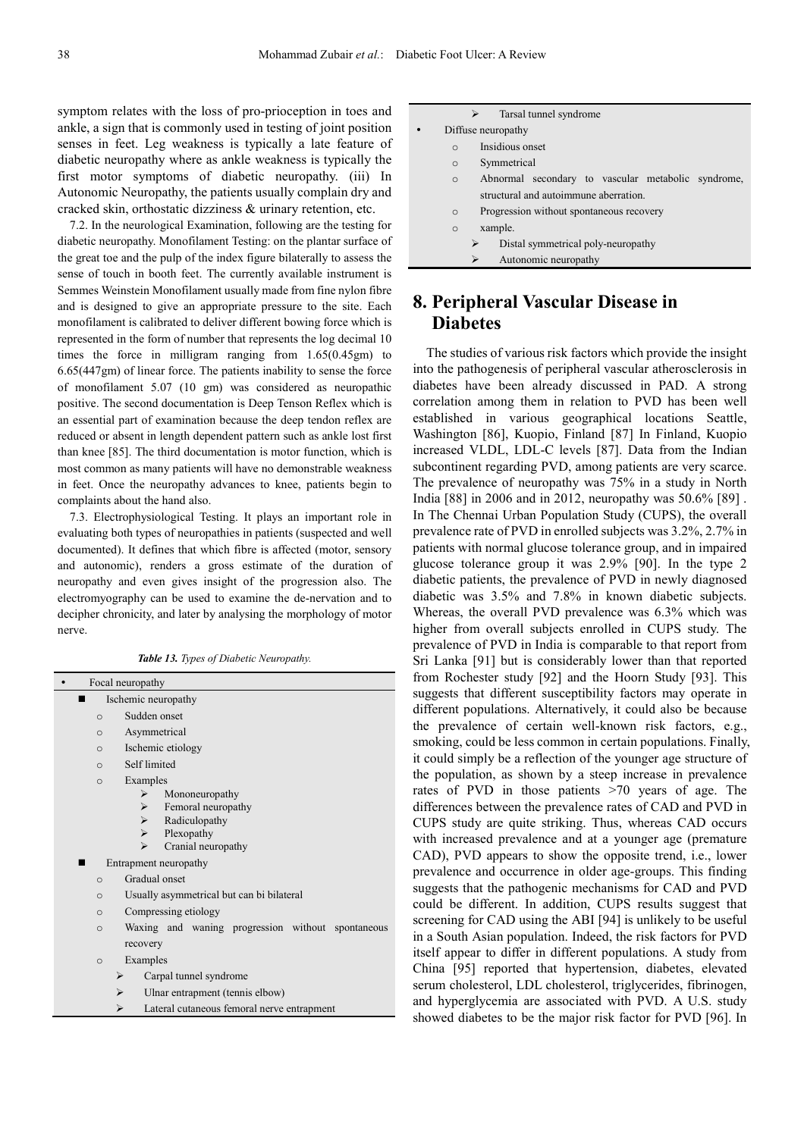symptom relates with the loss of pro-prioception in toes and ankle, a sign that is commonly used in testing of joint position senses in feet. Leg weakness is typically a late feature of diabetic neuropathy where as ankle weakness is typically the first motor symptoms of diabetic neuropathy. (iii) In Autonomic Neuropathy, the patients usually complain dry and cracked skin, orthostatic dizziness & urinary retention, etc.

7.2. In the neurological Examination, following are the testing for diabetic neuropathy. Monofilament Testing: on the plantar surface of the great toe and the pulp of the index figure bilaterally to assess the sense of touch in booth feet. The currently available instrument is Semmes Weinstein Monofilament usually made from fine nylon fibre and is designed to give an appropriate pressure to the site. Each monofilament is calibrated to deliver different bowing force which is represented in the form of number that represents the log decimal 10 times the force in milligram ranging from 1.65(0.45gm) to 6.65(447gm) of linear force. The patients inability to sense the force of monofilament 5.07 (10 gm) was considered as neuropathic positive. The second documentation is Deep Tenson Reflex which is an essential part of examination because the deep tendon reflex are reduced or absent in length dependent pattern such as ankle lost first than knee [85]. The third documentation is motor function, which is most common as many patients will have no demonstrable weakness in feet. Once the neuropathy advances to knee, patients begin to complaints about the hand also.

7.3. Electrophysiological Testing. It plays an important role in evaluating both types of neuropathies in patients (suspected and well documented). It defines that which fibre is affected (motor, sensory and autonomic), renders a gross estimate of the duration of neuropathy and even gives insight of the progression also. The electromyography can be used to examine the de-nervation and to decipher chronicity, and later by analysing the morphology of motor nerve.

| <b>Table 13.</b> Types of Diabetic Neuropathy. |  |  |  |
|------------------------------------------------|--|--|--|
|                                                |  |  |  |

|                                                 | Focal neuropathy                                  |  |  |  |
|-------------------------------------------------|---------------------------------------------------|--|--|--|
|                                                 | Ischemic neuropathy                               |  |  |  |
| $\circ$                                         | Sudden onset                                      |  |  |  |
| $\Omega$                                        | Asymmetrical                                      |  |  |  |
| $\circ$                                         | Ischemic etiology                                 |  |  |  |
| $\Omega$                                        | Self limited                                      |  |  |  |
| $\circ$                                         | Examples                                          |  |  |  |
|                                                 | Mononeuropathy<br>⋗                               |  |  |  |
|                                                 | Femoral neuropathy<br>$\triangleright$            |  |  |  |
|                                                 | Radiculopathy<br>$\triangleright$                 |  |  |  |
|                                                 | $\triangleright$<br>Plexopathy                    |  |  |  |
|                                                 | Cranial neuropathy                                |  |  |  |
|                                                 | Entrapment neuropathy                             |  |  |  |
| $\circ$                                         | Gradual onset                                     |  |  |  |
| $\circ$                                         | Usually asymmetrical but can bi bilateral         |  |  |  |
| $\circ$                                         | Compressing etiology                              |  |  |  |
| $\Omega$                                        | Waxing and waning progression without spontaneous |  |  |  |
|                                                 | recovery                                          |  |  |  |
| $\circ$                                         | Examples                                          |  |  |  |
|                                                 | Carpal tunnel syndrome<br>⋗                       |  |  |  |
|                                                 | Ulnar entrapment (tennis elbow)<br>⋗              |  |  |  |
| Lateral cutaneous femoral nerve entrapment<br>⋗ |                                                   |  |  |  |
|                                                 |                                                   |  |  |  |

| Tarsal tunnel syndrome                                        |
|---------------------------------------------------------------|
| Diffuse neuropathy<br>$\bullet$                               |
| Insidious onset<br>$\Omega$                                   |
| Symmetrical<br>$\circ$                                        |
| Abnormal secondary to vascular metabolic syndrome,<br>$\circ$ |
| structural and autoimmune aberration.                         |
| Progression without spontaneous recovery<br>$\circ$           |
| xample.<br>$\circ$                                            |
| Distal symmetrical poly-neuropathy<br>⋗                       |
| Autonomic neuropathy<br>⋗                                     |

### **8. Peripheral Vascular Disease in Diabetes**

The studies of various risk factors which provide the insight into the pathogenesis of peripheral vascular atherosclerosis in diabetes have been already discussed in PAD. A strong correlation among them in relation to PVD has been well established in various geographical locations Seattle, Washington [86], Kuopio, Finland [87] In Finland, Kuopio increased VLDL, LDL-C levels [87]. Data from the Indian subcontinent regarding PVD, among patients are very scarce. The prevalence of neuropathy was 75% in a study in North India [88] in 2006 and in 2012, neuropathy was 50.6% [89] . In The Chennai Urban Population Study (CUPS), the overall prevalence rate of PVD in enrolled subjects was 3.2%, 2.7% in patients with normal glucose tolerance group, and in impaired glucose tolerance group it was 2.9% [90]. In the type 2 diabetic patients, the prevalence of PVD in newly diagnosed diabetic was 3.5% and 7.8% in known diabetic subjects. Whereas, the overall PVD prevalence was 6.3% which was higher from overall subjects enrolled in CUPS study. The prevalence of PVD in India is comparable to that report from Sri Lanka [91] but is considerably lower than that reported from Rochester study [92] and the Hoorn Study [93]. This suggests that different susceptibility factors may operate in different populations. Alternatively, it could also be because the prevalence of certain well-known risk factors, e.g., smoking, could be less common in certain populations. Finally, it could simply be a reflection of the younger age structure of the population, as shown by a steep increase in prevalence rates of PVD in those patients >70 years of age. The differences between the prevalence rates of CAD and PVD in CUPS study are quite striking. Thus, whereas CAD occurs with increased prevalence and at a younger age (premature CAD), PVD appears to show the opposite trend, i.e., lower prevalence and occurrence in older age-groups. This finding suggests that the pathogenic mechanisms for CAD and PVD could be different. In addition, CUPS results suggest that screening for CAD using the ABI [94] is unlikely to be useful in a South Asian population. Indeed, the risk factors for PVD itself appear to differ in different populations. A study from China [95] reported that hypertension, diabetes, elevated serum cholesterol, LDL cholesterol, triglycerides, fibrinogen, and hyperglycemia are associated with PVD. A U.S. study showed diabetes to be the major risk factor for PVD [96]. In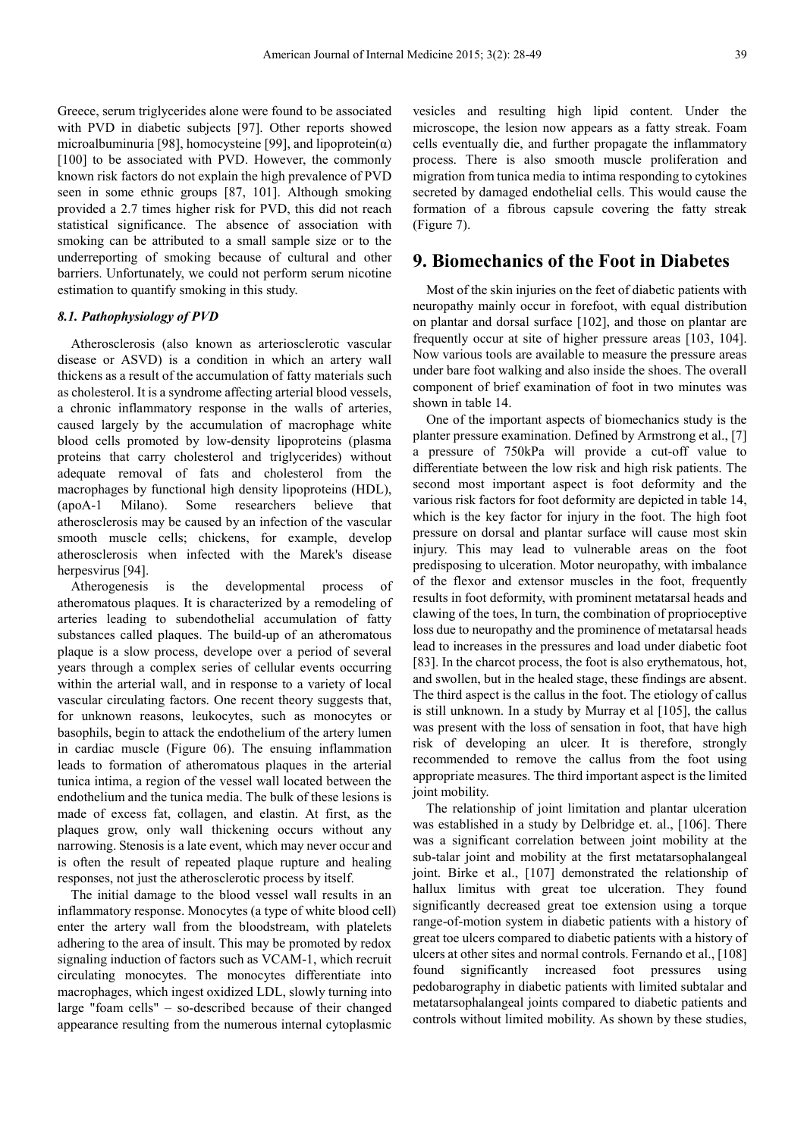Greece, serum triglycerides alone were found to be associated with PVD in diabetic subjects [97]. Other reports showed microalbuminuria [98], homocysteine [99], and lipoprotein $(\alpha)$ [100] to be associated with PVD. However, the commonly known risk factors do not explain the high prevalence of PVD seen in some ethnic groups [87, 101]. Although smoking provided a 2.7 times higher risk for PVD, this did not reach statistical significance. The absence of association with smoking can be attributed to a small sample size or to the underreporting of smoking because of cultural and other barriers. Unfortunately, we could not perform serum nicotine estimation to quantify smoking in this study.

### *8.1. Pathophysiology of PVD*

Atherosclerosis (also known as arteriosclerotic vascular disease or ASVD) is a condition in which an artery wall thickens as a result of the accumulation of fatty materials such as cholesterol. It is a syndrome affecting arterial blood vessels, a chronic inflammatory response in the walls of arteries, caused largely by the accumulation of macrophage white blood cells promoted by low-density lipoproteins (plasma proteins that carry cholesterol and triglycerides) without adequate removal of fats and cholesterol from the macrophages by functional high density lipoproteins (HDL), (apoA-1 Milano). Some researchers believe that atherosclerosis may be caused by an infection of the vascular smooth muscle cells; chickens, for example, develop atherosclerosis when infected with the Marek's disease herpesvirus [94].

Atherogenesis is the developmental process of atheromatous plaques. It is characterized by a remodeling of arteries leading to subendothelial accumulation of fatty substances called plaques. The build-up of an atheromatous plaque is a slow process, develope over a period of several years through a complex series of cellular events occurring within the arterial wall, and in response to a variety of local vascular circulating factors. One recent theory suggests that, for unknown reasons, leukocytes, such as monocytes or basophils, begin to attack the endothelium of the artery lumen in cardiac muscle (Figure 06). The ensuing inflammation leads to formation of atheromatous plaques in the arterial tunica intima, a region of the vessel wall located between the endothelium and the tunica media. The bulk of these lesions is made of excess fat, collagen, and elastin. At first, as the plaques grow, only wall thickening occurs without any narrowing. Stenosis is a late event, which may never occur and is often the result of repeated plaque rupture and healing responses, not just the atherosclerotic process by itself.

The initial damage to the blood vessel wall results in an inflammatory response. Monocytes (a type of white blood cell) enter the artery wall from the bloodstream, with platelets adhering to the area of insult. This may be promoted by redox signaling induction of factors such as VCAM-1, which recruit circulating monocytes. The monocytes differentiate into macrophages, which ingest oxidized LDL, slowly turning into large "foam cells" – so-described because of their changed appearance resulting from the numerous internal cytoplasmic

vesicles and resulting high lipid content. Under the microscope, the lesion now appears as a fatty streak. Foam cells eventually die, and further propagate the inflammatory process. There is also smooth muscle proliferation and migration from tunica media to intima responding to cytokines secreted by damaged endothelial cells. This would cause the formation of a fibrous capsule covering the fatty streak (Figure 7).

### **9. Biomechanics of the Foot in Diabetes**

Most of the skin injuries on the feet of diabetic patients with neuropathy mainly occur in forefoot, with equal distribution on plantar and dorsal surface [102], and those on plantar are frequently occur at site of higher pressure areas [103, 104]. Now various tools are available to measure the pressure areas under bare foot walking and also inside the shoes. The overall component of brief examination of foot in two minutes was shown in table 14.

One of the important aspects of biomechanics study is the planter pressure examination. Defined by Armstrong et al., [7] a pressure of 750kPa will provide a cut-off value to differentiate between the low risk and high risk patients. The second most important aspect is foot deformity and the various risk factors for foot deformity are depicted in table 14, which is the key factor for injury in the foot. The high foot pressure on dorsal and plantar surface will cause most skin injury. This may lead to vulnerable areas on the foot predisposing to ulceration. Motor neuropathy, with imbalance of the flexor and extensor muscles in the foot, frequently results in foot deformity, with prominent metatarsal heads and clawing of the toes, In turn, the combination of proprioceptive loss due to neuropathy and the prominence of metatarsal heads lead to increases in the pressures and load under diabetic foot [83]. In the charcot process, the foot is also erythematous, hot, and swollen, but in the healed stage, these findings are absent. The third aspect is the callus in the foot. The etiology of callus is still unknown. In a study by Murray et al [105], the callus was present with the loss of sensation in foot, that have high risk of developing an ulcer. It is therefore, strongly recommended to remove the callus from the foot using appropriate measures. The third important aspect is the limited joint mobility.

The relationship of joint limitation and plantar ulceration was established in a study by Delbridge et. al., [106]. There was a significant correlation between joint mobility at the sub-talar joint and mobility at the first metatarsophalangeal joint. Birke et al., [107] demonstrated the relationship of hallux limitus with great toe ulceration. They found significantly decreased great toe extension using a torque range-of-motion system in diabetic patients with a history of great toe ulcers compared to diabetic patients with a history of ulcers at other sites and normal controls. Fernando et al., [108] found significantly increased foot pressures using pedobarography in diabetic patients with limited subtalar and metatarsophalangeal joints compared to diabetic patients and controls without limited mobility. As shown by these studies,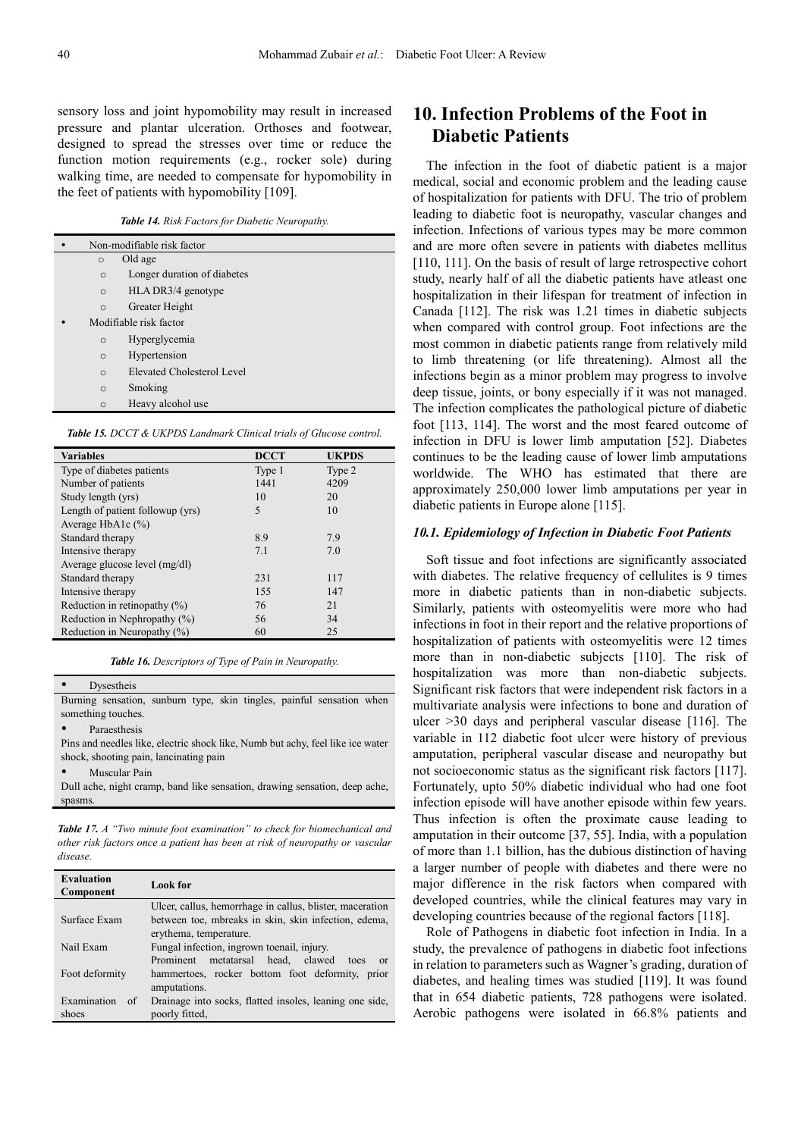sensory loss and joint hypomobility may result in increased pressure and plantar ulceration. Orthoses and footwear, designed to spread the stresses over time or reduce the function motion requirements (e.g., rocker sole) during walking time, are needed to compensate for hypomobility in the feet of patients with hypomobility [109].

*Table 14. Risk Factors for Diabetic Neuropathy.* 

|                                        | Non-modifiable risk factor |  |  |
|----------------------------------------|----------------------------|--|--|
| $\circ$                                | Old age                    |  |  |
| Longer duration of diabetes<br>$\circ$ |                            |  |  |
| $\Omega$                               | HLA DR3/4 genotype         |  |  |
| $\circ$                                | Greater Height             |  |  |
|                                        | Modifiable risk factor     |  |  |
| $\circ$                                | Hyperglycemia              |  |  |
| $\circ$                                | Hypertension               |  |  |
| $\Omega$                               | Elevated Cholesterol Level |  |  |
| $\circ$                                | Smoking                    |  |  |
| $\circ$                                | Heavy alcohol use          |  |  |

*Table 15. DCCT & UKPDS Landmark Clinical trials of Glucose control.* 

| <b>Variables</b>                 | <b>DCCT</b> | <b>UKPDS</b> |
|----------------------------------|-------------|--------------|
| Type of diabetes patients        | Type 1      | Type 2       |
| Number of patients               | 1441        | 4209         |
| Study length (yrs)               | 10          | 20           |
| Length of patient followup (yrs) | 5           | 10           |
| Average HbA1c $(%$               |             |              |
| Standard therapy                 | 8.9         | 7.9          |
| Intensive therapy                | 7.1         | 7.0          |
| Average glucose level (mg/dl)    |             |              |
| Standard therapy                 | 231         | 117          |
| Intensive therapy                | 155         | 147          |
| Reduction in retinopathy $(\%)$  | 76          | 21           |
| Reduction in Nephropathy $(\%)$  | 56          | 34           |
| Reduction in Neuropathy (%)      | 60          | 25           |

*Table 16. Descriptors of Type of Pain in Neuropathy.* 

| <b>Dysestheis</b>                                                     |  |  |  |  |
|-----------------------------------------------------------------------|--|--|--|--|
| Burning sensation, sunburn type, skin tingles, painful sensation when |  |  |  |  |

something touches.

Paraesthesis

Pins and needles like, electric shock like, Numb but achy, feel like ice water shock, shooting pain, lancinating pain

Muscular Pain

Dull ache, night cramp, band like sensation, drawing sensation, deep ache, spasms.

*Table 17. A "Two minute foot examination" to check for biomechanical and other risk factors once a patient has been at risk of neuropathy or vascular disease.* 

| <b>Evaluation</b><br>Component | <b>Look</b> for                                             |
|--------------------------------|-------------------------------------------------------------|
|                                | Ulcer, callus, hemorrhage in callus, blister, maceration    |
| Surface Exam                   | between toe, mbreaks in skin, skin infection, edema,        |
|                                | erythema, temperature.                                      |
| Nail Exam                      | Fungal infection, ingrown toenail, injury.                  |
|                                | head, clawed<br>metatarsal<br>Prominent<br>toes<br>$\alpha$ |
| Foot deformity                 | hammertoes, rocker bottom foot deformity, prior             |
|                                | amputations.                                                |
| Examination<br>of              | Drainage into socks, flatted insoles, leaning one side,     |
| shoes                          | poorly fitted.                                              |

### **10. Infection Problems of the Foot in Diabetic Patients**

The infection in the foot of diabetic patient is a major medical, social and economic problem and the leading cause of hospitalization for patients with DFU. The trio of problem leading to diabetic foot is neuropathy, vascular changes and infection. Infections of various types may be more common and are more often severe in patients with diabetes mellitus [110, 111]. On the basis of result of large retrospective cohort study, nearly half of all the diabetic patients have atleast one hospitalization in their lifespan for treatment of infection in Canada [112]. The risk was 1.21 times in diabetic subjects when compared with control group. Foot infections are the most common in diabetic patients range from relatively mild to limb threatening (or life threatening). Almost all the infections begin as a minor problem may progress to involve deep tissue, joints, or bony especially if it was not managed. The infection complicates the pathological picture of diabetic foot [113, 114]. The worst and the most feared outcome of infection in DFU is lower limb amputation [52]. Diabetes continues to be the leading cause of lower limb amputations worldwide. The WHO has estimated that there are approximately 250,000 lower limb amputations per year in diabetic patients in Europe alone [115].

#### *10.1. Epidemiology of Infection in Diabetic Foot Patients*

Soft tissue and foot infections are significantly associated with diabetes. The relative frequency of cellulites is 9 times more in diabetic patients than in non-diabetic subjects. Similarly, patients with osteomyelitis were more who had infections in foot in their report and the relative proportions of hospitalization of patients with osteomyelitis were 12 times more than in non-diabetic subjects [110]. The risk of hospitalization was more than non-diabetic subjects. Significant risk factors that were independent risk factors in a multivariate analysis were infections to bone and duration of ulcer >30 days and peripheral vascular disease [116]. The variable in 112 diabetic foot ulcer were history of previous amputation, peripheral vascular disease and neuropathy but not socioeconomic status as the significant risk factors [117]. Fortunately, upto 50% diabetic individual who had one foot infection episode will have another episode within few years. Thus infection is often the proximate cause leading to amputation in their outcome [37, 55]. India, with a population of more than 1.1 billion, has the dubious distinction of having a larger number of people with diabetes and there were no major difference in the risk factors when compared with developed countries, while the clinical features may vary in developing countries because of the regional factors [118].

Role of Pathogens in diabetic foot infection in India. In a study, the prevalence of pathogens in diabetic foot infections in relation to parameters such as Wagner's grading, duration of diabetes, and healing times was studied [119]. It was found that in 654 diabetic patients, 728 pathogens were isolated. Aerobic pathogens were isolated in 66.8% patients and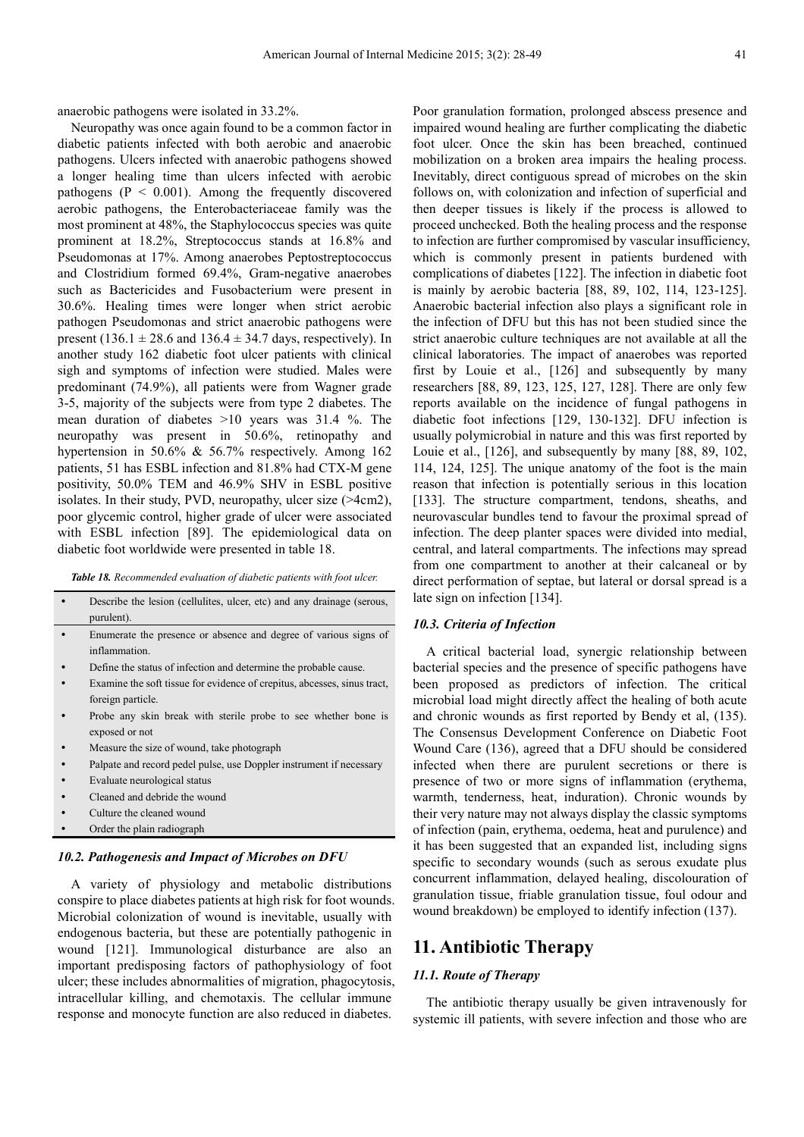anaerobic pathogens were isolated in 33.2%.

Neuropathy was once again found to be a common factor in diabetic patients infected with both aerobic and anaerobic pathogens. Ulcers infected with anaerobic pathogens showed a longer healing time than ulcers infected with aerobic pathogens ( $P < 0.001$ ). Among the frequently discovered aerobic pathogens, the Enterobacteriaceae family was the most prominent at 48%, the Staphylococcus species was quite prominent at 18.2%, Streptococcus stands at 16.8% and Pseudomonas at 17%. Among anaerobes Peptostreptococcus and Clostridium formed 69.4%, Gram-negative anaerobes such as Bactericides and Fusobacterium were present in 30.6%. Healing times were longer when strict aerobic pathogen Pseudomonas and strict anaerobic pathogens were present (136.1  $\pm$  28.6 and 136.4  $\pm$  34.7 days, respectively). In another study 162 diabetic foot ulcer patients with clinical sigh and symptoms of infection were studied. Males were predominant (74.9%), all patients were from Wagner grade 3-5, majority of the subjects were from type 2 diabetes. The mean duration of diabetes >10 years was 31.4 %. The neuropathy was present in 50.6%, retinopathy and hypertension in 50.6% & 56.7% respectively. Among 162 patients, 51 has ESBL infection and 81.8% had CTX-M gene positivity, 50.0% TEM and 46.9% SHV in ESBL positive isolates. In their study, PVD, neuropathy, ulcer size (>4cm2), poor glycemic control, higher grade of ulcer were associated with ESBL infection [89]. The epidemiological data on diabetic foot worldwide were presented in table 18.

*Table 18. Recommended evaluation of diabetic patients with foot ulcer.* 

| Describe the lesion (cellulites, ulcer, etc) and any drainage (serous,<br>purulent). |
|--------------------------------------------------------------------------------------|
|                                                                                      |
| Enumerate the presence or absence and degree of various signs of                     |
| inflammation.                                                                        |
| Define the status of infection and determine the probable cause.                     |
| Examine the soft tissue for evidence of crepitus, abcesses, sinus tract,             |
| foreign particle.                                                                    |
| Probe any skin break with sterile probe to see whether bone is                       |
| exposed or not                                                                       |
| Measure the size of wound, take photograph                                           |
| Palpate and record pedel pulse, use Doppler instrument if necessary                  |
| Evaluate neurological status                                                         |
| Cleaned and debride the wound                                                        |
| Culture the cleaned wound                                                            |

• Order the plain radiograph

### *10.2. Pathogenesis and Impact of Microbes on DFU*

A variety of physiology and metabolic distributions conspire to place diabetes patients at high risk for foot wounds. Microbial colonization of wound is inevitable, usually with endogenous bacteria, but these are potentially pathogenic in wound [121]. Immunological disturbance are also an important predisposing factors of pathophysiology of foot ulcer; these includes abnormalities of migration, phagocytosis, intracellular killing, and chemotaxis. The cellular immune response and monocyte function are also reduced in diabetes.

Poor granulation formation, prolonged abscess presence and impaired wound healing are further complicating the diabetic foot ulcer. Once the skin has been breached, continued mobilization on a broken area impairs the healing process. Inevitably, direct contiguous spread of microbes on the skin follows on, with colonization and infection of superficial and then deeper tissues is likely if the process is allowed to proceed unchecked. Both the healing process and the response to infection are further compromised by vascular insufficiency, which is commonly present in patients burdened with complications of diabetes [122]. The infection in diabetic foot is mainly by aerobic bacteria [88, 89, 102, 114, 123-125]. Anaerobic bacterial infection also plays a significant role in the infection of DFU but this has not been studied since the strict anaerobic culture techniques are not available at all the clinical laboratories. The impact of anaerobes was reported first by Louie et al., [126] and subsequently by many researchers [88, 89, 123, 125, 127, 128]. There are only few reports available on the incidence of fungal pathogens in diabetic foot infections [129, 130-132]. DFU infection is usually polymicrobial in nature and this was first reported by Louie et al., [126], and subsequently by many [88, 89, 102, 114, 124, 125]. The unique anatomy of the foot is the main reason that infection is potentially serious in this location [133]. The structure compartment, tendons, sheaths, and neurovascular bundles tend to favour the proximal spread of infection. The deep planter spaces were divided into medial, central, and lateral compartments. The infections may spread from one compartment to another at their calcaneal or by direct performation of septae, but lateral or dorsal spread is a late sign on infection [134].

#### *10.3. Criteria of Infection*

A critical bacterial load, synergic relationship between bacterial species and the presence of specific pathogens have been proposed as predictors of infection. The critical microbial load might directly affect the healing of both acute and chronic wounds as first reported by Bendy et al, (135). The Consensus Development Conference on Diabetic Foot Wound Care (136), agreed that a DFU should be considered infected when there are purulent secretions or there is presence of two or more signs of inflammation (erythema, warmth, tenderness, heat, induration). Chronic wounds by their very nature may not always display the classic symptoms of infection (pain, erythema, oedema, heat and purulence) and it has been suggested that an expanded list, including signs specific to secondary wounds (such as serous exudate plus concurrent inflammation, delayed healing, discolouration of granulation tissue, friable granulation tissue, foul odour and wound breakdown) be employed to identify infection (137).

### **11. Antibiotic Therapy**

#### *11.1. Route of Therapy*

The antibiotic therapy usually be given intravenously for systemic ill patients, with severe infection and those who are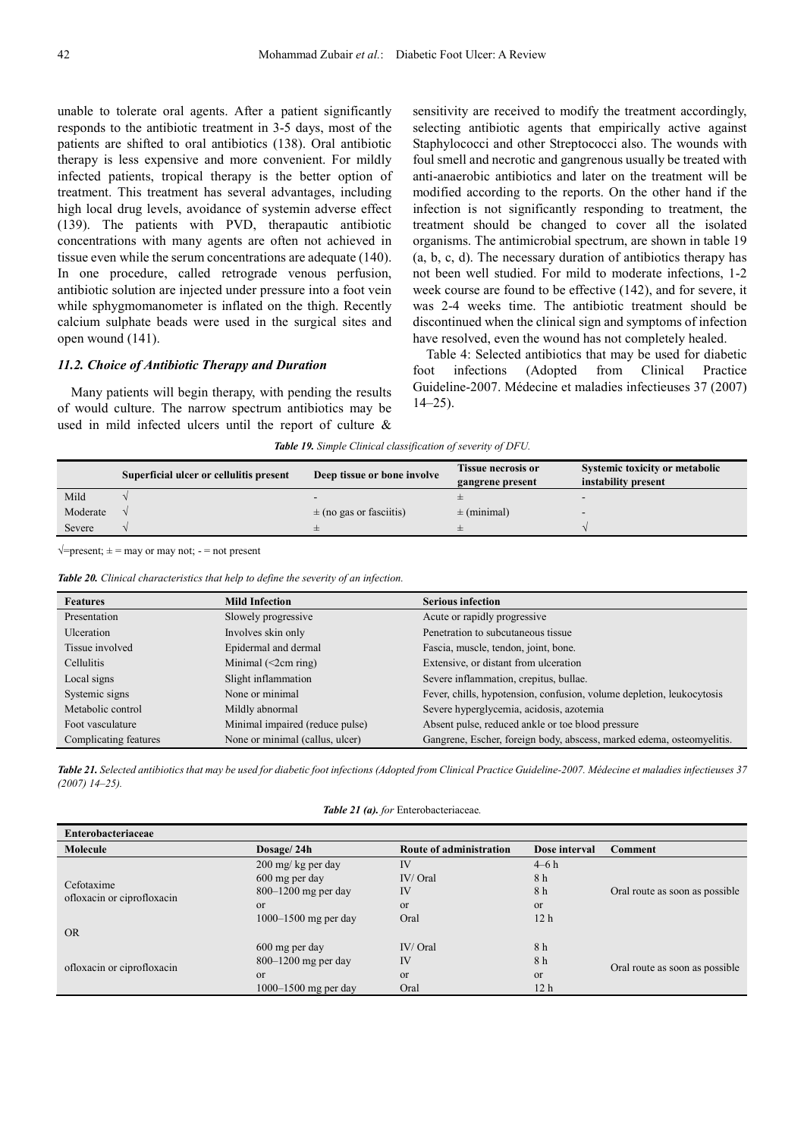unable to tolerate oral agents. After a patient significantly responds to the antibiotic treatment in 3-5 days, most of the patients are shifted to oral antibiotics (138). Oral antibiotic therapy is less expensive and more convenient. For mildly infected patients, tropical therapy is the better option of treatment. This treatment has several advantages, including high local drug levels, avoidance of systemin adverse effect (139). The patients with PVD, therapautic antibiotic concentrations with many agents are often not achieved in tissue even while the serum concentrations are adequate (140). In one procedure, called retrograde venous perfusion, antibiotic solution are injected under pressure into a foot vein while sphygmomanometer is inflated on the thigh. Recently calcium sulphate beads were used in the surgical sites and open wound (141).

### *11.2. Choice of Antibiotic Therapy and Duration*

Many patients will begin therapy, with pending the results of would culture. The narrow spectrum antibiotics may be used in mild infected ulcers until the report of culture &

sensitivity are received to modify the treatment accordingly, selecting antibiotic agents that empirically active against Staphylococci and other Streptococci also. The wounds with foul smell and necrotic and gangrenous usually be treated with anti-anaerobic antibiotics and later on the treatment will be modified according to the reports. On the other hand if the infection is not significantly responding to treatment, the treatment should be changed to cover all the isolated organisms. The antimicrobial spectrum, are shown in table 19 (a, b, c, d). The necessary duration of antibiotics therapy has not been well studied. For mild to moderate infections, 1-2 week course are found to be effective (142), and for severe, it was 2-4 weeks time. The antibiotic treatment should be discontinued when the clinical sign and symptoms of infection have resolved, even the wound has not completely healed.

Table 4: Selected antibiotics that may be used for diabetic foot infections (Adopted from Clinical Practice Guideline-2007. Médecine et maladies infectieuses 37 (2007)  $14-25$ ).

|  |  |  | <b>Table 19.</b> Simple Clinical classification of severity of DFU. |  |
|--|--|--|---------------------------------------------------------------------|--|
|  |  |  |                                                                     |  |

|          | Superficial ulcer or cellulitis present | Deep tissue or bone involve | <b>Tissue necrosis or</b><br>gangrene present | <b>Systemic toxicity or metabolic</b><br>instability present |
|----------|-----------------------------------------|-----------------------------|-----------------------------------------------|--------------------------------------------------------------|
| Mild     |                                         |                             |                                               |                                                              |
| Moderate |                                         | $\pm$ (no gas or fasciitis) | $\pm$ (minimal)                               |                                                              |
| Severe   |                                         |                             |                                               |                                                              |

 $\sqrt{\frac{1}{2}}$ =present;  $\pm$  = may or may not; - = not present

*Table 20. Clinical characteristics that help to define the severity of an infection.* 

| <b>Features</b>       | <b>Mild Infection</b>           | <b>Serious infection</b>                                              |
|-----------------------|---------------------------------|-----------------------------------------------------------------------|
| Presentation          | Slowely progressive             | Acute or rapidly progressive                                          |
| Ulceration            | Involves skin only              | Penetration to subcutaneous tissue                                    |
| Tissue involved       | Epidermal and dermal            | Fascia, muscle, tendon, joint, bone.                                  |
| <b>Cellulitis</b>     | Minimal $(\leq 2$ cm ring)      | Extensive, or distant from ulceration                                 |
| Local signs           | Slight inflammation             | Severe inflammation, crepitus, bullae.                                |
| Systemic signs        | None or minimal                 | Fever, chills, hypotension, confusion, volume depletion, leukocytosis |
| Metabolic control     | Mildly abnormal                 | Severe hyperglycemia, acidosis, azotemia                              |
| Foot vasculature      | Minimal impaired (reduce pulse) | Absent pulse, reduced ankle or toe blood pressure                     |
| Complicating features | None or minimal (callus, ulcer) | Gangrene, Escher, foreign body, abscess, marked edema, osteomyelitis. |

*Table 21. Selected antibiotics that may be used for diabetic foot infections (Adopted from Clinical Practice Guideline-2007. Médecine et maladies infectieuses 37 (2007) 14–25).* 

| <b>Enterobacteriaceae</b>  |                        |                         |                 |                                |
|----------------------------|------------------------|-------------------------|-----------------|--------------------------------|
| Molecule                   | Dosage/ 24h            | Route of administration | Dose interval   | Comment                        |
|                            | 200 mg/ kg per day     | <b>IV</b>               | $4-6h$          |                                |
| Cefotaxime                 | 600 mg per day         | $IV/$ Oral              | 8 h             |                                |
|                            | $800-1200$ mg per day  | IV                      | 8 h             | Oral route as soon as possible |
| ofloxacin or ciprofloxacin | <sub>or</sub>          | <sub>or</sub>           | <sub>or</sub>   |                                |
|                            | $1000-1500$ mg per day | Oral                    | 12 <sub>h</sub> |                                |
| <b>OR</b>                  |                        |                         |                 |                                |
|                            | 600 mg per day         | IV/Oral                 | 8 h             |                                |
|                            | $800-1200$ mg per day  | IV                      | 8 h             |                                |
| ofloxacin or ciprofloxacin | <sub>or</sub>          | <sub>or</sub>           | <sub>or</sub>   | Oral route as soon as possible |
|                            | $1000-1500$ mg per day | Oral                    | 12 <sub>h</sub> |                                |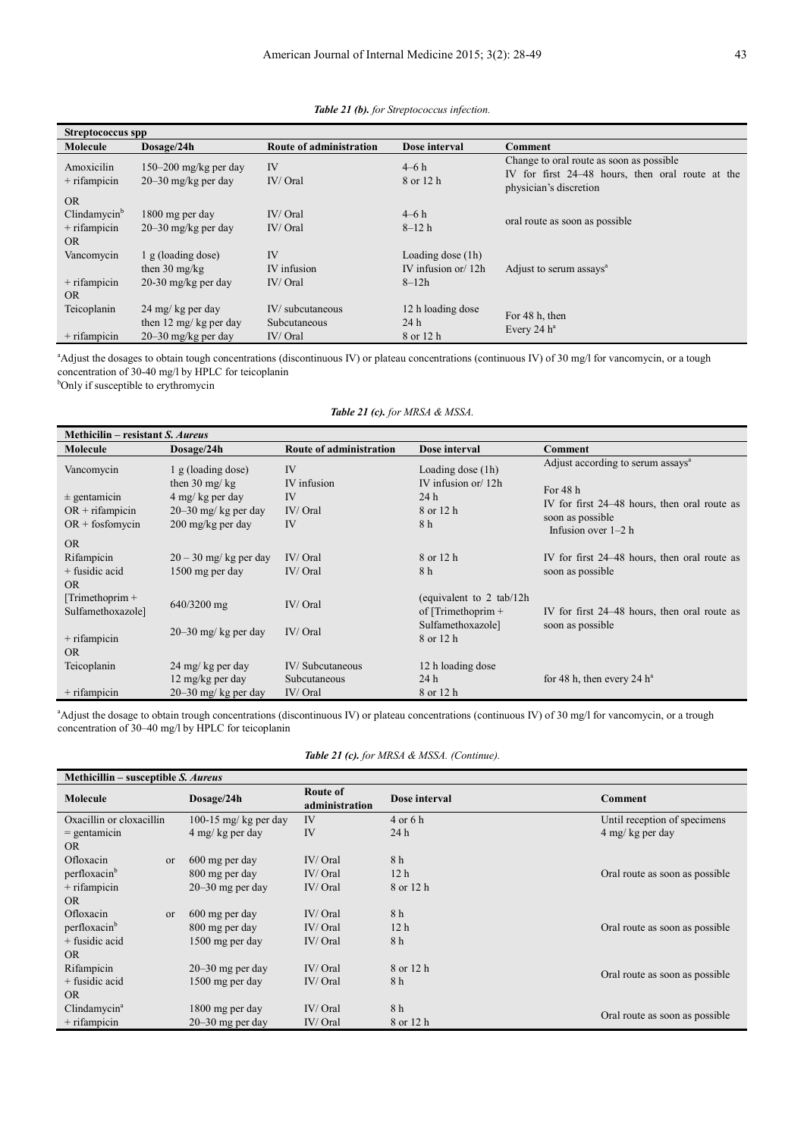| Streptococcus spp                                                         |                                                                        |                                            |                                                          |                                                                                                                         |
|---------------------------------------------------------------------------|------------------------------------------------------------------------|--------------------------------------------|----------------------------------------------------------|-------------------------------------------------------------------------------------------------------------------------|
| Molecule                                                                  | Dosage/24h                                                             | <b>Route of administration</b>             | Dose interval                                            | Comment                                                                                                                 |
| Amoxicilin<br>$+$ rifampicin                                              | 150–200 mg/kg per day<br>$20 - 30$ mg/kg per day                       | IV<br>IV/Oral                              | $4-6h$<br>8 or 12 h                                      | Change to oral route as soon as possible.<br>IV for first 24–48 hours, then oral route at the<br>physician's discretion |
| <b>OR</b><br>$C$ lindamycin $\mathfrak{b}$<br>$+$ rifampicin<br><b>OR</b> | 1800 mg per day<br>$20 - 30$ mg/kg per day                             | IV/Oral<br>IV/Oral                         | $4-6h$<br>$8 - 12h$                                      | oral route as soon as possible                                                                                          |
| Vancomycin<br>$+$ rifampicin<br><b>OR</b>                                 | 1 g (loading dose)<br>then $30 \text{ mg/kg}$<br>20-30 mg/kg per day   | <b>IV</b><br>IV infusion<br>IV/Oral        | Loading dose $(1h)$<br>IV infusion or $12h$<br>$8 - 12h$ | Adjust to serum assays <sup>a</sup>                                                                                     |
| Teicoplanin<br>$+$ rifampicin                                             | 24 mg/ kg per day<br>then 12 mg/ kg per day<br>$20 - 30$ mg/kg per day | IV/subcutaneous<br>Subcutaneous<br>IV/Oral | 12 h loading dose<br>24h<br>8 or 12 h                    | For 48 h, then<br>Every 24 $h^a$                                                                                        |

*Table 21 (b). for Streptococcus infection.* 

<sup>a</sup>Adjust the dosages to obtain tough concentrations (discontinuous IV) or plateau concentrations (continuous IV) of 30 mg/l for vancomycin, or a tough concentration of 30-40 mg/l by HPLC for teicoplanin

**b**Only if susceptible to erythromycin

*Table 21 (c). for MRSA & MSSA.* 

| Methicilin – resistant S. Aureus       |                                               |                         |                                                   |                                                            |
|----------------------------------------|-----------------------------------------------|-------------------------|---------------------------------------------------|------------------------------------------------------------|
| Molecule                               | Dosage/24h                                    | Route of administration | Dose interval                                     | Comment                                                    |
| Vancomycin                             | 1 g (loading dose)<br>then $30 \text{ mg/kg}$ | IV<br>IV infusion       | Loading dose (1h)<br>IV infusion or $/12h$        | Adjust according to serum assays <sup>a</sup><br>For $48h$ |
| $\pm$ gentamicin                       | 4 mg/kg per day                               | IV                      | 24h                                               |                                                            |
| $OR + rifampicin$                      | 20-30 mg/ kg per day                          | $IV/$ Oral              | 8 or 12 h                                         | IV for first 24–48 hours, then oral route as               |
| $OR + f$ fosfomycin                    | 200 mg/kg per day                             | <b>IV</b>               | 8 h                                               | soon as possible<br>Infusion over $1-2$ h                  |
| <b>OR</b>                              |                                               |                         |                                                   |                                                            |
| Rifampicin                             | $20 - 30$ mg/kg per day                       | IV/Oral                 | 8 or 12 h                                         | IV for first 24–48 hours, then oral route as               |
| $+$ fusidic acid                       | 1500 mg per day                               | IV/Oral                 | 8 h                                               | soon as possible                                           |
| <b>OR</b>                              |                                               |                         |                                                   |                                                            |
| $[Trimethoprim +$<br>Sulfamethoxazole] | 640/3200 mg                                   | IV/Oral                 | (equivalent to 2 tab/12h)<br>of [Trimethoprim $+$ | IV for first 24–48 hours, then oral route as               |
| $+$ rifampicin<br><b>OR</b>            | $20-30$ mg/ kg per day                        | IV/Oral                 | Sulfamethoxazole]<br>8 or 12 h                    | soon as possible                                           |
| Teicoplanin                            | 24 mg/ kg per day                             | IV/Subcutaneous         | 12 h loading dose                                 |                                                            |
|                                        | 12 mg/kg per day                              | Subcutaneous            | 24h                                               | for 48 h, then every 24 $h^a$                              |
| $+$ rifampicin                         | $20 - 30$ mg/ kg per day                      | $IV/$ Oral              | 8 or 12 h                                         |                                                            |

<sup>a</sup>Adjust the dosage to obtain trough concentrations (discontinuous IV) or plateau concentrations (continuous IV) of 30 mg/l for vancomycin, or a trough concentration of 30–40 mg/l by HPLC for teicoplanin

| Table 21 (c). for MRSA & MSSA. (Continue). |  |  |
|--------------------------------------------|--|--|
|                                            |  |  |

| Methicillin – susceptible S. Aureus |                       |                            |                 |                                |
|-------------------------------------|-----------------------|----------------------------|-----------------|--------------------------------|
| Molecule                            | Dosage/24h            | Route of<br>administration | Dose interval   | Comment                        |
| Oxacillin or cloxacillin            | 100-15 mg/ kg per day | IV                         | 4 or 6 h        | Until reception of specimens   |
| $=$ gentamicin                      | 4 mg/kg per day       | IV                         | 24 h            | 4 mg/kg per day                |
| <b>OR</b>                           |                       |                            |                 |                                |
| Ofloxacin<br><sub>or</sub>          | 600 mg per day        | IV/Oral                    | 8 h             |                                |
| perfloxacin <sup>b</sup>            | 800 mg per day        | IV/Oral                    | 12 <sub>h</sub> | Oral route as soon as possible |
| $+$ rifampicin                      | $20 - 30$ mg per day  | IV/Oral                    | 8 or 12 h       |                                |
| <b>OR</b>                           |                       |                            |                 |                                |
| Ofloxacin<br><sub>or</sub>          | 600 mg per day        | IV/Oral                    | 8 h             |                                |
| perfloxacin <sup>b</sup>            | 800 mg per day        | IV/Oral                    | 12 <sub>h</sub> | Oral route as soon as possible |
| $+$ fusidic acid                    | 1500 mg per day       | IV/Oral                    | 8 h             |                                |
| <b>OR</b>                           |                       |                            |                 |                                |
| Rifampicin                          | $20 - 30$ mg per day  | IV/Oral                    | 8 or 12 h       |                                |
| + fusidic acid                      | 1500 mg per day       | IV/Oral                    | 8 h             | Oral route as soon as possible |
| <b>OR</b>                           |                       |                            |                 |                                |
| $C$ lindamycin <sup>a</sup>         | 1800 mg per day       | IV/Oral                    | 8 h             |                                |
| $+$ rifampicin                      | $20 - 30$ mg per day  | IV/Oral                    | 8 or 12 h       | Oral route as soon as possible |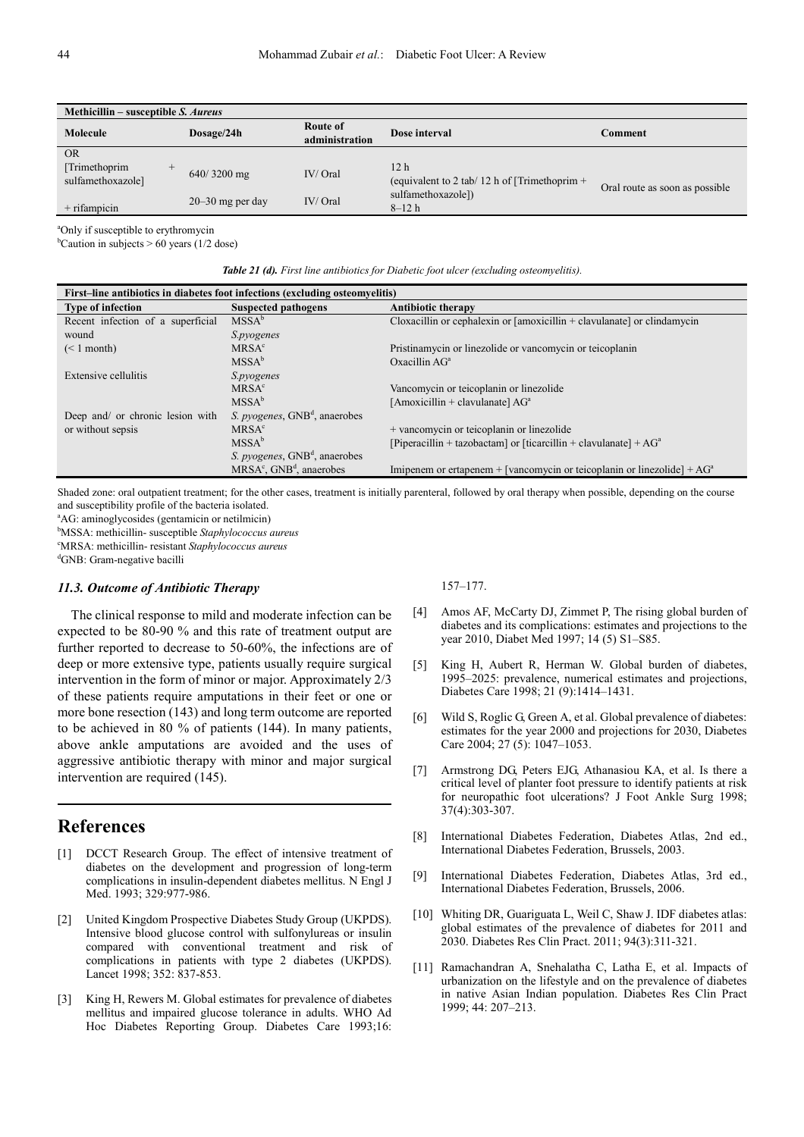| Methicillin – susceptible S. Aureus           |                      |                            |                                                                  |                                |
|-----------------------------------------------|----------------------|----------------------------|------------------------------------------------------------------|--------------------------------|
| Molecule                                      | Dosage/24h           | Route of<br>administration | Dose interval                                                    | Comment                        |
| <b>OR</b>                                     |                      |                            |                                                                  |                                |
| [Trimethoprim]<br>$^{+}$<br>sulfamethoxazole] | $640/3200$ mg        | IV/Oral                    | 12 <sub>h</sub><br>(equivalent to 2 tab/ 12 h of [Trimethoprim + | Oral route as soon as possible |
| $+$ rifampicin                                | $20 - 30$ mg per day | IV/Oral                    | sulfamethoxazole])<br>$8 - 12h$                                  |                                |

<sup>a</sup>Only if susceptible to erythromycin

<sup>b</sup>Caution in subjects  $> 60$  years (1/2 dose)

| <b>Table 21 (d).</b> First line antibiotics for Diabetic foot ulcer (excluding osteomyelitis). |  |  |  |
|------------------------------------------------------------------------------------------------|--|--|--|
|                                                                                                |  |  |  |

| First-line antibiotics in diabetes foot infections (excluding osteomyelitis) |                                                   |                                                                             |  |
|------------------------------------------------------------------------------|---------------------------------------------------|-----------------------------------------------------------------------------|--|
| <b>Type of infection</b>                                                     | <b>Suspected pathogens</b>                        | <b>Antibiotic therapy</b>                                                   |  |
| Recent infection of a superficial                                            | MSSA <sup>b</sup>                                 | Cloxacillin or cephalexin or $[amoxicillin + clavulanate]$ or $clindamycin$ |  |
| wound                                                                        | S.pyogenes                                        |                                                                             |  |
| $(< 1$ month)                                                                | MRSA <sup>c</sup>                                 | Pristinamycin or linezolide or vancomycin or teicoplanin                    |  |
|                                                                              | MSSA <sup>b</sup>                                 | Oxacillin $AGa$                                                             |  |
| Extensive cellulitis                                                         | S.pyogenes                                        |                                                                             |  |
|                                                                              | MRSA <sup>c</sup>                                 | Vancomycin or teicoplanin or linezolide                                     |  |
|                                                                              | MSSA <sup>b</sup>                                 | [Amoxicillin + clavulanate] $AGa$                                           |  |
| Deep and/ or chronic lesion with                                             | <i>S. pyogenes</i> , GNB <sup>d</sup> , anaerobes |                                                                             |  |
| or without sepsis                                                            | MRSA <sup>c</sup>                                 | + vancomycin or teicoplanin or linezolide                                   |  |
|                                                                              | MSSA <sup>b</sup>                                 | [Piperacillin + tazobactam] or [ticarcillin + clavulanate] + $AGa$          |  |
|                                                                              | S. pyogenes, GNB <sup>d</sup> , anaerobes         |                                                                             |  |
|                                                                              | MRSA <sup>c</sup> , GNB <sup>d</sup> , anaerobes  | Imipenem or ertapenem + [vancomycin or teicoplanin or linezolide] + $AGa$   |  |
|                                                                              |                                                   |                                                                             |  |

Shaded zone: oral outpatient treatment; for the other cases, treatment is initially parenteral, followed by oral therapy when possible, depending on the course and susceptibility profile of the bacteria isolated.

<sup>a</sup>AG: aminoglycosides (gentamicin or netilmicin)

<sup>b</sup>MSSA: methicillin- susceptible *Staphylococcus aureus* 

<sup>c</sup>MRSA: methicillin- resistant *Staphylococcus aureus*

<sup>d</sup>GNB: Gram-negative bacilli

### *11.3. Outcome of Antibiotic Therapy*

The clinical response to mild and moderate infection can be expected to be 80-90 % and this rate of treatment output are further reported to decrease to 50-60%, the infections are of deep or more extensive type, patients usually require surgical intervention in the form of minor or major. Approximately 2/3 of these patients require amputations in their feet or one or more bone resection (143) and long term outcome are reported to be achieved in 80 % of patients (144). In many patients, above ankle amputations are avoided and the uses of aggressive antibiotic therapy with minor and major surgical intervention are required (145).

### **References**

- [1] DCCT Research Group. The effect of intensive treatment of diabetes on the development and progression of long-term complications in insulin-dependent diabetes mellitus. N Engl J Med. 1993; 329:977-986.
- [2] United Kingdom Prospective Diabetes Study Group (UKPDS). Intensive blood glucose control with sulfonylureas or insulin compared with conventional treatment and risk of complications in patients with type 2 diabetes (UKPDS). Lancet 1998; 352: 837-853.
- [3] King H, Rewers M. Global estimates for prevalence of diabetes mellitus and impaired glucose tolerance in adults. WHO Ad Hoc Diabetes Reporting Group. Diabetes Care 1993;16:

157–177.

- [4] Amos AF, McCarty DJ, Zimmet P, The rising global burden of diabetes and its complications: estimates and projections to the year 2010, Diabet Med 1997; 14 (5) S1–S85.
- [5] King H, Aubert R, Herman W. Global burden of diabetes, 1995–2025: prevalence, numerical estimates and projections, Diabetes Care 1998; 21 (9):1414–1431.
- [6] Wild S, Roglic G, Green A, et al. Global prevalence of diabetes: estimates for the year 2000 and projections for 2030, Diabetes Care 2004; 27 (5): 1047–1053.
- [7] Armstrong DG, Peters EJG, Athanasiou KA, et al. Is there a critical level of planter foot pressure to identify patients at risk for neuropathic foot ulcerations? J Foot Ankle Surg 1998; 37(4):303-307.
- [8] International Diabetes Federation, Diabetes Atlas, 2nd ed., International Diabetes Federation, Brussels, 2003.
- [9] International Diabetes Federation, Diabetes Atlas, 3rd ed., International Diabetes Federation, Brussels, 2006.
- [10] Whiting DR, Guariguata L, Weil C, Shaw J. IDF diabetes atlas: global estimates of the prevalence of diabetes for 2011 and 2030. Diabetes Res Clin Pract. 2011; 94(3):311-321.
- [11] Ramachandran A, Snehalatha C, Latha E, et al. Impacts of urbanization on the lifestyle and on the prevalence of diabetes in native Asian Indian population. Diabetes Res Clin Pract 1999; 44: 207–213.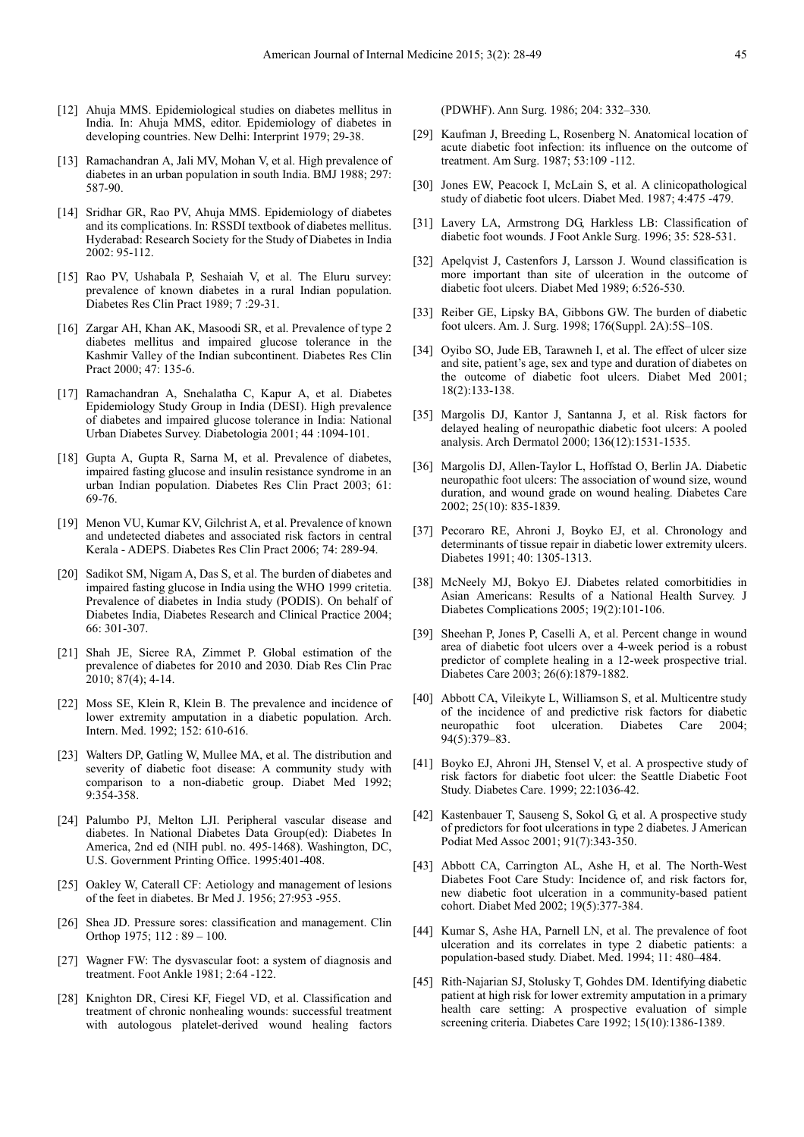- [12] Ahuja MMS. Epidemiological studies on diabetes mellitus in India. In: Ahuja MMS, editor. Epidemiology of diabetes in developing countries. New Delhi: Interprint 1979; 29-38.
- [13] Ramachandran A, Jali MV, Mohan V, et al. High prevalence of diabetes in an urban population in south India. BMJ 1988; 297: 587-90.
- [14] Sridhar GR, Rao PV, Ahuja MMS. Epidemiology of diabetes and its complications. In: RSSDI textbook of diabetes mellitus. Hyderabad: Research Society for the Study of Diabetes in India 2002: 95-112.
- [15] Rao PV, Ushabala P, Seshaiah V, et al. The Eluru survey: prevalence of known diabetes in a rural Indian population. Diabetes Res Clin Pract 1989; 7 :29-31.
- [16] Zargar AH, Khan AK, Masoodi SR, et al. Prevalence of type 2 diabetes mellitus and impaired glucose tolerance in the Kashmir Valley of the Indian subcontinent. Diabetes Res Clin Pract 2000; 47: 135-6.
- [17] Ramachandran A, Snehalatha C, Kapur A, et al. Diabetes Epidemiology Study Group in India (DESI). High prevalence of diabetes and impaired glucose tolerance in India: National Urban Diabetes Survey. Diabetologia 2001; 44 :1094-101.
- [18] Gupta A, Gupta R, Sarna M, et al. Prevalence of diabetes, impaired fasting glucose and insulin resistance syndrome in an urban Indian population. Diabetes Res Clin Pract 2003; 61: 69-76.
- [19] Menon VU, Kumar KV, Gilchrist A, et al. Prevalence of known and undetected diabetes and associated risk factors in central Kerala - ADEPS. Diabetes Res Clin Pract 2006; 74: 289-94.
- [20] Sadikot SM, Nigam A, Das S, et al. The burden of diabetes and impaired fasting glucose in India using the WHO 1999 critetia. Prevalence of diabetes in India study (PODIS). On behalf of Diabetes India, Diabetes Research and Clinical Practice 2004; 66: 301-307.
- [21] Shah JE, Sicree RA, Zimmet P. Global estimation of the prevalence of diabetes for 2010 and 2030. Diab Res Clin Prac 2010; 87(4); 4-14.
- [22] Moss SE, Klein R, Klein B. The prevalence and incidence of lower extremity amputation in a diabetic population. Arch. Intern. Med. 1992; 152: 610-616.
- [23] Walters DP, Gatling W, Mullee MA, et al. The distribution and severity of diabetic foot disease: A community study with comparison to a non-diabetic group. Diabet Med 1992; 9:354-358.
- [24] Palumbo PJ, Melton LJI. Peripheral vascular disease and diabetes. In National Diabetes Data Group(ed): Diabetes In America, 2nd ed (NIH publ. no. 495-1468). Washington, DC, U.S. Government Printing Office. 1995:401-408.
- [25] Oakley W, Caterall CF: Aetiology and management of lesions of the feet in diabetes. Br Med J. 1956; 27:953 -955.
- [26] Shea JD. Pressure sores: classification and management. Clin Orthop 1975; 112 : 89 – 100.
- [27] Wagner FW: The dysvascular foot: a system of diagnosis and treatment. Foot Ankle 1981; 2:64 -122.
- [28] Knighton DR, Ciresi KF, Fiegel VD, et al. Classification and treatment of chronic nonhealing wounds: successful treatment with autologous platelet-derived wound healing factors

(PDWHF). Ann Surg. 1986; 204: 332–330.

- [29] Kaufman J, Breeding L, Rosenberg N. Anatomical location of acute diabetic foot infection: its influence on the outcome of treatment. Am Surg. 1987; 53:109 -112.
- [30] Jones EW, Peacock I, McLain S, et al. A clinicopathological study of diabetic foot ulcers. Diabet Med. 1987; 4:475 -479.
- [31] Lavery LA, Armstrong DG, Harkless LB: Classification of diabetic foot wounds. J Foot Ankle Surg. 1996; 35: 528-531.
- [32] Apelqvist J, Castenfors J, Larsson J. Wound classification is more important than site of ulceration in the outcome of diabetic foot ulcers. Diabet Med 1989; 6:526-530.
- [33] Reiber GE, Lipsky BA, Gibbons GW. The burden of diabetic foot ulcers. Am. J. Surg. 1998; 176(Suppl. 2A):5S–10S.
- [34] Oyibo SO, Jude EB, Tarawneh I, et al. The effect of ulcer size and site, patient's age, sex and type and duration of diabetes on the outcome of diabetic foot ulcers. Diabet Med 2001; 18(2):133-138.
- [35] Margolis DJ, Kantor J, Santanna J, et al. Risk factors for delayed healing of neuropathic diabetic foot ulcers: A pooled analysis. Arch Dermatol 2000; 136(12):1531-1535.
- [36] Margolis DJ, Allen-Taylor L, Hoffstad O, Berlin JA. Diabetic neuropathic foot ulcers: The association of wound size, wound duration, and wound grade on wound healing. Diabetes Care 2002; 25(10): 835-1839.
- [37] Pecoraro RE, Ahroni J, Boyko EJ, et al. Chronology and determinants of tissue repair in diabetic lower extremity ulcers. Diabetes 1991; 40: 1305-1313.
- [38] McNeely MJ, Bokyo EJ. Diabetes related comorbitidies in Asian Americans: Results of a National Health Survey. J Diabetes Complications 2005; 19(2):101-106.
- [39] Sheehan P, Jones P, Caselli A, et al. Percent change in wound area of diabetic foot ulcers over a 4-week period is a robust predictor of complete healing in a 12-week prospective trial. Diabetes Care 2003; 26(6):1879-1882.
- [40] Abbott CA, Vileikyte L, Williamson S, et al. Multicentre study of the incidence of and predictive risk factors for diabetic neuropathic foot ulceration. Diabetes Care 2004; 94(5):379–83.
- [41] Boyko EJ, Ahroni JH, Stensel V, et al. A prospective study of risk factors for diabetic foot ulcer: the Seattle Diabetic Foot Study. Diabetes Care. 1999; 22:1036-42.
- [42] Kastenbauer T, Sauseng S, Sokol G, et al. A prospective study of predictors for foot ulcerations in type 2 diabetes. J American Podiat Med Assoc 2001; 91(7):343-350.
- [43] Abbott CA, Carrington AL, Ashe H, et al. The North-West Diabetes Foot Care Study: Incidence of, and risk factors for, new diabetic foot ulceration in a community-based patient cohort. Diabet Med 2002; 19(5):377-384.
- [44] Kumar S, Ashe HA, Parnell LN, et al. The prevalence of foot ulceration and its correlates in type 2 diabetic patients: a population-based study. Diabet. Med. 1994; 11: 480–484.
- [45] Rith-Najarian SJ, Stolusky T, Gohdes DM. Identifying diabetic patient at high risk for lower extremity amputation in a primary health care setting: A prospective evaluation of simple screening criteria. Diabetes Care 1992; 15(10):1386-1389.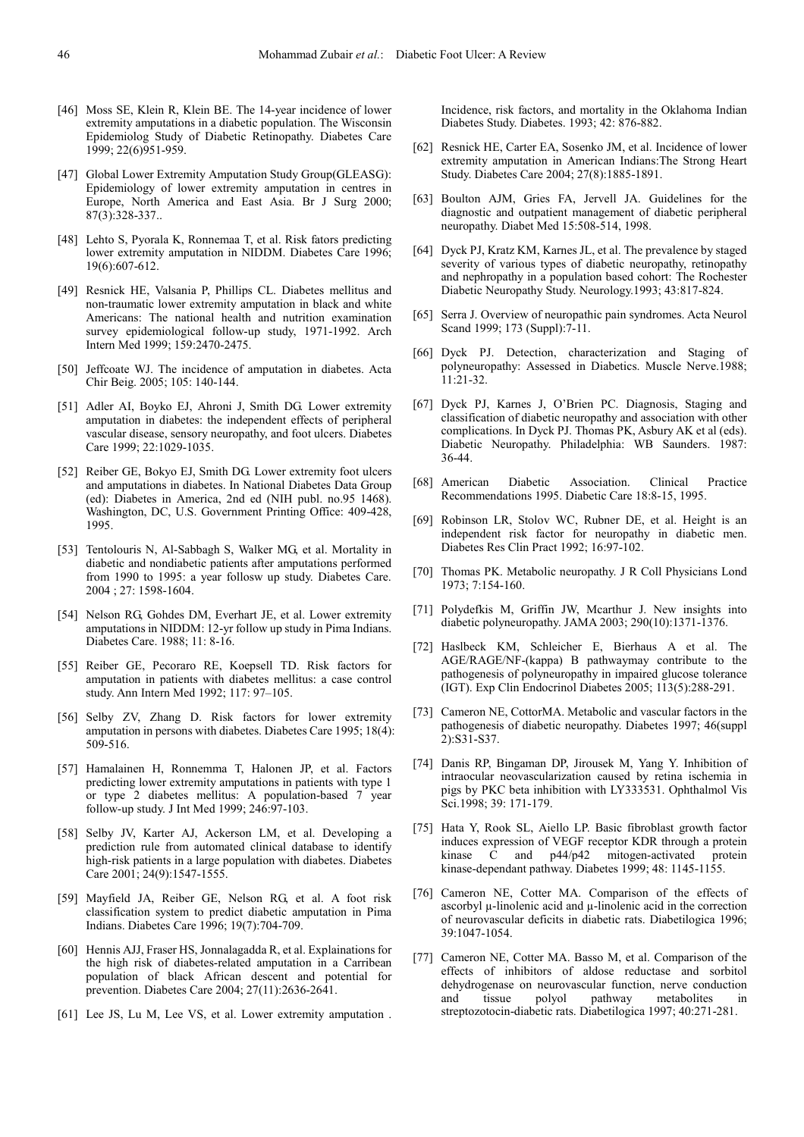- [46] Moss SE, Klein R, Klein BE. The 14-year incidence of lower extremity amputations in a diabetic population. The Wisconsin Epidemiolog Study of Diabetic Retinopathy. Diabetes Care 1999; 22(6)951-959.
- [47] Global Lower Extremity Amputation Study Group(GLEASG): Epidemiology of lower extremity amputation in centres in Europe, North America and East Asia. Br J Surg 2000; 87(3):328-337..
- [48] Lehto S, Pyorala K, Ronnemaa T, et al. Risk fators predicting lower extremity amputation in NIDDM. Diabetes Care 1996; 19(6):607-612.
- [49] Resnick HE, Valsania P, Phillips CL. Diabetes mellitus and non-traumatic lower extremity amputation in black and white Americans: The national health and nutrition examination survey epidemiological follow-up study, 1971-1992. Arch Intern Med 1999; 159:2470-2475.
- [50] Jeffcoate WJ. The incidence of amputation in diabetes. Acta Chir Beig. 2005; 105: 140-144.
- [51] Adler AI, Boyko EJ, Ahroni J, Smith DG. Lower extremity amputation in diabetes: the independent effects of peripheral vascular disease, sensory neuropathy, and foot ulcers. Diabetes Care 1999; 22:1029-1035.
- [52] Reiber GE, Bokyo EJ, Smith DG. Lower extremity foot ulcers and amputations in diabetes. In National Diabetes Data Group (ed): Diabetes in America, 2nd ed (NIH publ. no.95 1468). Washington, DC, U.S. Government Printing Office: 409-428, 1995.
- [53] Tentolouris N, Al-Sabbagh S, Walker MG, et al. Mortality in diabetic and nondiabetic patients after amputations performed from 1990 to 1995: a year follosw up study. Diabetes Care. 2004 ; 27: 1598-1604.
- [54] Nelson RG, Gohdes DM, Everhart JE, et al. Lower extremity amputations in NIDDM: 12-yr follow up study in Pima Indians. Diabetes Care. 1988; 11: 8-16.
- [55] Reiber GE, Pecoraro RE, Koepsell TD. Risk factors for amputation in patients with diabetes mellitus: a case control study. Ann Intern Med 1992; 117: 97–105.
- [56] Selby ZV, Zhang D. Risk factors for lower extremity amputation in persons with diabetes. Diabetes Care 1995; 18(4): 509-516.
- [57] Hamalainen H, Ronnemma T, Halonen JP, et al. Factors predicting lower extremity amputations in patients with type 1 or type 2 diabetes mellitus: A population-based 7 year follow-up study. J Int Med 1999; 246:97-103.
- [58] Selby JV, Karter AJ, Ackerson LM, et al. Developing a prediction rule from automated clinical database to identify high-risk patients in a large population with diabetes. Diabetes Care 2001; 24(9):1547-1555.
- [59] Mayfield JA, Reiber GE, Nelson RG, et al. A foot risk classification system to predict diabetic amputation in Pima Indians. Diabetes Care 1996; 19(7):704-709.
- [60] Hennis AJJ, Fraser HS, Jonnalagadda R, et al. Explainations for the high risk of diabetes-related amputation in a Carribean population of black African descent and potential for prevention. Diabetes Care 2004; 27(11):2636-2641.
- [61] Lee JS, Lu M, Lee VS, et al. Lower extremity amputation.

Incidence, risk factors, and mortality in the Oklahoma Indian Diabetes Study. Diabetes. 1993; 42: 876-882.

- [62] Resnick HE, Carter EA, Sosenko JM, et al. Incidence of lower extremity amputation in American Indians:The Strong Heart Study. Diabetes Care 2004; 27(8):1885-1891.
- [63] Boulton AJM, Gries FA, Jervell JA. Guidelines for the diagnostic and outpatient management of diabetic peripheral neuropathy. Diabet Med 15:508-514, 1998.
- [64] Dyck PJ, Kratz KM, Karnes JL, et al. The prevalence by staged severity of various types of diabetic neuropathy, retinopathy and nephropathy in a population based cohort: The Rochester Diabetic Neuropathy Study. Neurology.1993; 43:817-824.
- [65] Serra J. Overview of neuropathic pain syndromes. Acta Neurol Scand 1999; 173 (Suppl):7-11.
- [66] Dyck PJ. Detection, characterization and Staging of polyneuropathy: Assessed in Diabetics. Muscle Nerve.1988; 11:21-32.
- [67] Dyck PJ, Karnes J, O'Brien PC. Diagnosis, Staging and classification of diabetic neuropathy and association with other complications. In Dyck PJ. Thomas PK, Asbury AK et al (eds). Diabetic Neuropathy. Philadelphia: WB Saunders. 1987: 36-44.
- [68] American Diabetic Association. Clinical Practice Recommendations 1995. Diabetic Care 18:8-15, 1995.
- [69] Robinson LR, Stolov WC, Rubner DE, et al. Height is an independent risk factor for neuropathy in diabetic men. Diabetes Res Clin Pract 1992; 16:97-102.
- [70] Thomas PK. Metabolic neuropathy. J R Coll Physicians Lond 1973; 7:154-160.
- [71] Polydefkis M, Griffin JW, Mcarthur J. New insights into diabetic polyneuropathy. JAMA 2003; 290(10):1371-1376.
- [72] Haslbeck KM, Schleicher E, Bierhaus A et al. The AGE/RAGE/NF-(kappa) B pathwaymay contribute to the pathogenesis of polyneuropathy in impaired glucose tolerance (IGT). Exp Clin Endocrinol Diabetes 2005; 113(5):288-291.
- [73] Cameron NE, CottorMA. Metabolic and vascular factors in the pathogenesis of diabetic neuropathy. Diabetes 1997; 46(suppl 2):S31-S37.
- [74] Danis RP, Bingaman DP, Jirousek M, Yang Y. Inhibition of intraocular neovascularization caused by retina ischemia in pigs by PKC beta inhibition with LY333531. Ophthalmol Vis Sci.1998; 39: 171-179.
- [75] Hata Y, Rook SL, Aiello LP. Basic fibroblast growth factor induces expression of VEGF receptor KDR through a protein kinase  $\dot{C}$  and  $p44/p42$  mitogen-activated protein kinase-dependant pathway. Diabetes 1999; 48: 1145-1155.
- [76] Cameron NE, Cotter MA. Comparison of the effects of ascorbyl µ-linolenic acid and µ-linolenic acid in the correction of neurovascular deficits in diabetic rats. Diabetilogica 1996; 39:1047-1054.
- [77] Cameron NE, Cotter MA. Basso M, et al. Comparison of the effects of inhibitors of aldose reductase and sorbitol dehydrogenase on neurovascular function, nerve conduction and tissue polyol pathway metabolites in streptozotocin-diabetic rats. Diabetilogica 1997; 40:271-281.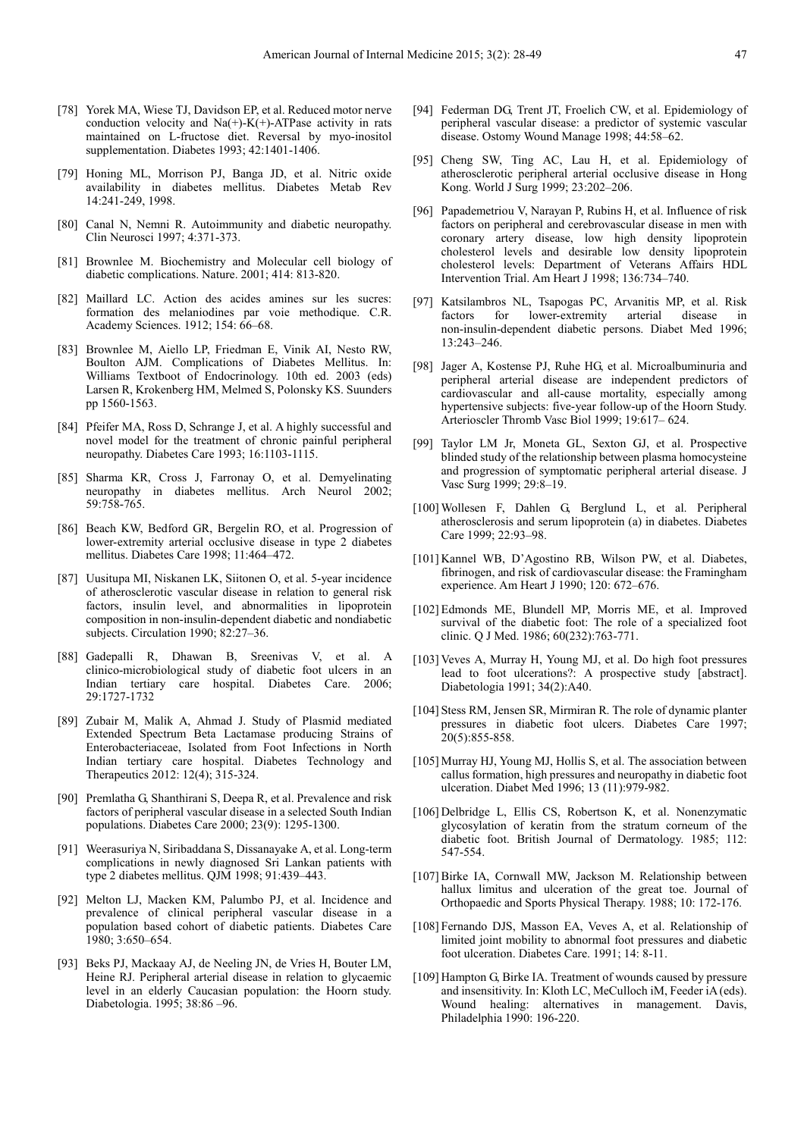- [78] Yorek MA, Wiese TJ, Davidson EP, et al. Reduced motor nerve conduction velocity and  $Na(+)-K(+)$ -ATPase activity in rats maintained on L-fructose diet. Reversal by myo-inositol supplementation. Diabetes 1993; 42:1401-1406.
- [79] Honing ML, Morrison PJ, Banga JD, et al. Nitric oxide availability in diabetes mellitus. Diabetes Metab Rev 14:241-249, 1998.
- [80] Canal N, Nemni R. Autoimmunity and diabetic neuropathy. Clin Neurosci 1997; 4:371-373.
- [81] Brownlee M. Biochemistry and Molecular cell biology of diabetic complications. Nature. 2001; 414: 813-820.
- [82] Maillard LC. Action des acides amines sur les sucres: formation des melaniodines par voie methodique. C.R. Academy Sciences. 1912; 154: 66–68.
- [83] Brownlee M, Aiello LP, Friedman E, Vinik AI, Nesto RW, Boulton AJM. Complications of Diabetes Mellitus. In: Williams Textboot of Endocrinology. 10th ed. 2003 (eds) Larsen R, Krokenberg HM, Melmed S, Polonsky KS. Suunders pp 1560-1563.
- [84] Pfeifer MA, Ross D, Schrange J, et al. A highly successful and novel model for the treatment of chronic painful peripheral neuropathy. Diabetes Care 1993; 16:1103-1115.
- [85] Sharma KR, Cross J, Farronay O, et al. Demyelinating neuropathy in diabetes mellitus. Arch Neurol 2002; 59:758-765.
- [86] Beach KW, Bedford GR, Bergelin RO, et al. Progression of lower-extremity arterial occlusive disease in type 2 diabetes mellitus. Diabetes Care 1998; 11:464–472.
- [87] Uusitupa MI, Niskanen LK, Siitonen O, et al. 5-year incidence of atherosclerotic vascular disease in relation to general risk factors, insulin level, and abnormalities in lipoprotein composition in non-insulin-dependent diabetic and nondiabetic subjects. Circulation 1990; 82:27–36.
- [88] Gadepalli R, Dhawan B, Sreenivas V, et al. A clinico-microbiological study of diabetic foot ulcers in an Indian tertiary care hospital. Diabetes Care. 2006; 29:1727-1732
- [89] Zubair M, Malik A, Ahmad J. Study of Plasmid mediated Extended Spectrum Beta Lactamase producing Strains of Enterobacteriaceae, Isolated from Foot Infections in North Indian tertiary care hospital. Diabetes Technology and Therapeutics 2012: 12(4); 315-324.
- [90] Premlatha G, Shanthirani S, Deepa R, et al. Prevalence and risk factors of peripheral vascular disease in a selected South Indian populations. Diabetes Care 2000; 23(9): 1295-1300.
- [91] Weerasuriya N, Siribaddana S, Dissanayake A, et al. Long-term complications in newly diagnosed Sri Lankan patients with type 2 diabetes mellitus. QJM 1998; 91:439–443.
- [92] Melton LJ, Macken KM, Palumbo PJ, et al. Incidence and prevalence of clinical peripheral vascular disease in a population based cohort of diabetic patients. Diabetes Care 1980; 3:650–654.
- [93] Beks PJ, Mackaay AJ, de Neeling JN, de Vries H, Bouter LM, Heine RJ. Peripheral arterial disease in relation to glycaemic level in an elderly Caucasian population: the Hoorn study. Diabetologia. 1995; 38:86 –96.
- [94] Federman DG, Trent JT, Froelich CW, et al. Epidemiology of peripheral vascular disease: a predictor of systemic vascular disease. Ostomy Wound Manage 1998; 44:58–62.
- [95] Cheng SW, Ting AC, Lau H, et al. Epidemiology of atherosclerotic peripheral arterial occlusive disease in Hong Kong. World J Surg 1999; 23:202–206.
- [96] Papademetriou V, Narayan P, Rubins H, et al. Influence of risk factors on peripheral and cerebrovascular disease in men with coronary artery disease, low high density lipoprotein cholesterol levels and desirable low density lipoprotein cholesterol levels: Department of Veterans Affairs HDL Intervention Trial. Am Heart J 1998; 136:734–740.
- [97] Katsilambros NL, Tsapogas PC, Arvanitis MP, et al. Risk factors for lower-extremity arterial disease in non-insulin-dependent diabetic persons. Diabet Med 1996; 13:243–246.
- [98] Jager A, Kostense PJ, Ruhe HG, et al. Microalbuminuria and peripheral arterial disease are independent predictors of cardiovascular and all-cause mortality, especially among hypertensive subjects: five-year follow-up of the Hoorn Study. Arterioscler Thromb Vasc Biol 1999; 19:617– 624.
- [99] Taylor LM Jr, Moneta GL, Sexton GJ, et al. Prospective blinded study of the relationship between plasma homocysteine and progression of symptomatic peripheral arterial disease. J Vasc Surg 1999; 29:8–19.
- [100] Wollesen F, Dahlen G, Berglund L, et al. Peripheral atherosclerosis and serum lipoprotein (a) in diabetes. Diabetes Care 1999; 22:93–98.
- [101] Kannel WB, D'Agostino RB, Wilson PW, et al. Diabetes, fibrinogen, and risk of cardiovascular disease: the Framingham experience. Am Heart J 1990; 120: 672–676.
- [102] Edmonds ME, Blundell MP, Morris ME, et al. Improved survival of the diabetic foot: The role of a specialized foot clinic. Q J Med. 1986; 60(232):763-771.
- [103] Veves A, Murray H, Young MJ, et al. Do high foot pressures lead to foot ulcerations?: A prospective study [abstract]. Diabetologia 1991; 34(2):A40.
- [104] Stess RM, Jensen SR, Mirmiran R. The role of dynamic planter pressures in diabetic foot ulcers. Diabetes Care 1997; 20(5):855-858.
- [105] Murray HJ, Young MJ, Hollis S, et al. The association between callus formation, high pressures and neuropathy in diabetic foot ulceration. Diabet Med 1996; 13 (11):979-982.
- [106] Delbridge L, Ellis CS, Robertson K, et al. Nonenzymatic glycosylation of keratin from the stratum corneum of the diabetic foot. British Journal of Dermatology. 1985; 112: 547-554.
- [107] Birke IA, Cornwall MW, Jackson M. Relationship between hallux limitus and ulceration of the great toe. Journal of Orthopaedic and Sports Physical Therapy. 1988; 10: 172-176.
- [108] Fernando DJS, Masson EA, Veves A, et al. Relationship of limited joint mobility to abnormal foot pressures and diabetic foot ulceration. Diabetes Care. 1991; 14: 8-11.
- [109] Hampton G, Birke IA. Treatment of wounds caused by pressure and insensitivity. In: Kloth LC, MeCulloch iM, Feeder iA (eds). Wound healing: alternatives in management. Davis, Philadelphia 1990: 196-220.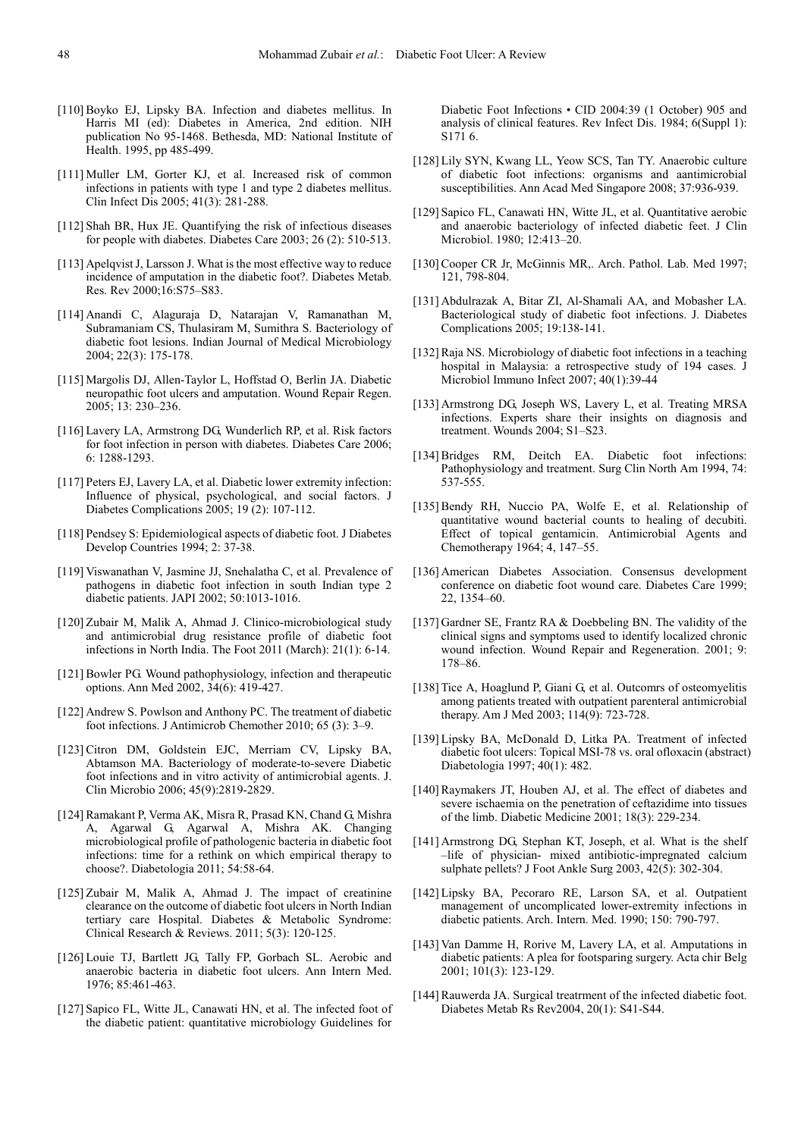- [110] Boyko EJ, Lipsky BA. Infection and diabetes mellitus. In Harris MI (ed): Diabetes in America, 2nd edition. NIH publication No 95-1468. Bethesda, MD: National Institute of Health. 1995, pp 485-499.
- [111] Muller LM, Gorter KJ, et al. Increased risk of common infections in patients with type 1 and type 2 diabetes mellitus. Clin Infect Dis 2005; 41(3): 281-288.
- [112] Shah BR, Hux JE. Quantifying the risk of infectious diseases for people with diabetes. Diabetes Care 2003; 26 (2): 510-513.
- [113] Apelqvist J, Larsson J. What is the most effective way to reduce incidence of amputation in the diabetic foot?. Diabetes Metab. Res. Rev 2000;16:S75–S83.
- [114] Anandi C, Alaguraja D, Natarajan V, Ramanathan M, Subramaniam CS, Thulasiram M, Sumithra S. Bacteriology of diabetic foot lesions. Indian Journal of Medical Microbiology 2004; 22(3): 175-178.
- [115] Margolis DJ, Allen-Taylor L, Hoffstad O, Berlin JA. Diabetic neuropathic foot ulcers and amputation. Wound Repair Regen. 2005; 13: 230–236.
- [116] Lavery LA, Armstrong DG, Wunderlich RP, et al. Risk factors for foot infection in person with diabetes. Diabetes Care 2006; 6: 1288-1293.
- [117] Peters EJ, Lavery LA, et al. Diabetic lower extremity infection: Influence of physical, psychological, and social factors. J Diabetes Complications 2005; 19 (2): 107-112.
- [118] Pendsey S: Epidemiological aspects of diabetic foot. J Diabetes Develop Countries 1994; 2: 37-38.
- [119] Viswanathan V, Jasmine JJ, Snehalatha C, et al. Prevalence of pathogens in diabetic foot infection in south Indian type 2 diabetic patients. JAPI 2002; 50:1013-1016.
- [120] Zubair M, Malik A, Ahmad J. Clinico-microbiological study and antimicrobial drug resistance profile of diabetic foot infections in North India. The Foot 2011 (March): 21(1): 6-14.
- [121] Bowler PG. Wound pathophysiology, infection and therapeutic options. Ann Med 2002, 34(6): 419-427.
- [122] Andrew S. Powlson and Anthony PC. The treatment of diabetic foot infections. J Antimicrob Chemother 2010; 65 (3): 3–9.
- [123] Citron DM, Goldstein EJC, Merriam CV, Lipsky BA, Abtamson MA. Bacteriology of moderate-to-severe Diabetic foot infections and in vitro activity of antimicrobial agents. J. Clin Microbio 2006; 45(9):2819-2829.
- [124] Ramakant P, Verma AK, Misra R, Prasad KN, Chand G, Mishra A, Agarwal G, Agarwal A, Mishra AK. Changing microbiological profile of pathologenic bacteria in diabetic foot infections: time for a rethink on which empirical therapy to choose?. Diabetologia 2011; 54:58-64.
- [125] Zubair M, Malik A, Ahmad J. The impact of creatinine clearance on the outcome of diabetic foot ulcers in North Indian tertiary care Hospital. Diabetes & Metabolic Syndrome: Clinical Research & Reviews. 2011; 5(3): 120-125.
- [126] Louie TJ, Bartlett JG, Tally FP, Gorbach SL. Aerobic and anaerobic bacteria in diabetic foot ulcers. Ann Intern Med. 1976; 85:461-463.
- [127] Sapico FL, Witte JL, Canawati HN, et al. The infected foot of the diabetic patient: quantitative microbiology Guidelines for

Diabetic Foot Infections • CID 2004:39 (1 October) 905 and analysis of clinical features. Rev Infect Dis. 1984; 6(Suppl 1): S171 6.

- [128] Lily SYN, Kwang LL, Yeow SCS, Tan TY. Anaerobic culture of diabetic foot infections: organisms and aantimicrobial susceptibilities. Ann Acad Med Singapore 2008; 37:936-939.
- [129] Sapico FL, Canawati HN, Witte JL, et al. Quantitative aerobic and anaerobic bacteriology of infected diabetic feet. J Clin Microbiol. 1980; 12:413–20.
- [130] Cooper CR Jr, McGinnis MR,. Arch. Pathol. Lab. Med 1997; 121, 798-804.
- [131] Abdulrazak A, Bitar ZI, Al-Shamali AA, and Mobasher LA. Bacteriological study of diabetic foot infections. J. Diabetes Complications 2005; 19:138-141.
- [132] Raja NS. Microbiology of diabetic foot infections in a teaching hospital in Malaysia: a retrospective study of 194 cases. J Microbiol Immuno Infect 2007; 40(1):39-44
- [133] Armstrong DG, Joseph WS, Lavery L, et al. Treating MRSA infections. Experts share their insights on diagnosis and treatment. Wounds 2004; S1–S23.
- [134] Bridges RM, Deitch EA. Diabetic foot infections: Pathophysiology and treatment. Surg Clin North Am 1994, 74: 537-555.
- [135] Bendy RH, Nuccio PA, Wolfe E, et al. Relationship of quantitative wound bacterial counts to healing of decubiti. Effect of topical gentamicin. Antimicrobial Agents and Chemotherapy 1964; 4, 147–55.
- [136] American Diabetes Association. Consensus development conference on diabetic foot wound care. Diabetes Care 1999; 22, 1354–60.
- [137] Gardner SE, Frantz RA & Doebbeling BN. The validity of the clinical signs and symptoms used to identify localized chronic wound infection. Wound Repair and Regeneration. 2001; 9: 178–86.
- [138] Tice A, Hoaglund P, Giani G, et al. Outcomrs of osteomyelitis among patients treated with outpatient parenteral antimicrobial therapy. Am J Med 2003; 114(9): 723-728.
- [139] Lipsky BA, McDonald D, Litka PA. Treatment of infected diabetic foot ulcers: Topical MSI-78 vs. oral ofloxacin (abstract) Diabetologia 1997; 40(1): 482.
- [140] Raymakers JT, Houben AJ, et al. The effect of diabetes and severe ischaemia on the penetration of ceftazidime into tissues of the limb. Diabetic Medicine 2001; 18(3): 229-234.
- [141] Armstrong DG, Stephan KT, Joseph, et al. What is the shelf –life of physician- mixed antibiotic-impregnated calcium sulphate pellets? J Foot Ankle Surg 2003, 42(5): 302-304.
- [142] Lipsky BA, Pecoraro RE, Larson SA, et al. Outpatient management of uncomplicated lower-extremity infections in diabetic patients. Arch. Intern. Med. 1990; 150: 790-797.
- [143] Van Damme H, Rorive M, Lavery LA, et al. Amputations in diabetic patients: A plea for footsparing surgery. Acta chir Belg 2001; 101(3): 123-129.
- [144] Rauwerda JA. Surgical treatrment of the infected diabetic foot. Diabetes Metab Rs Rev2004, 20(1): S41-S44.